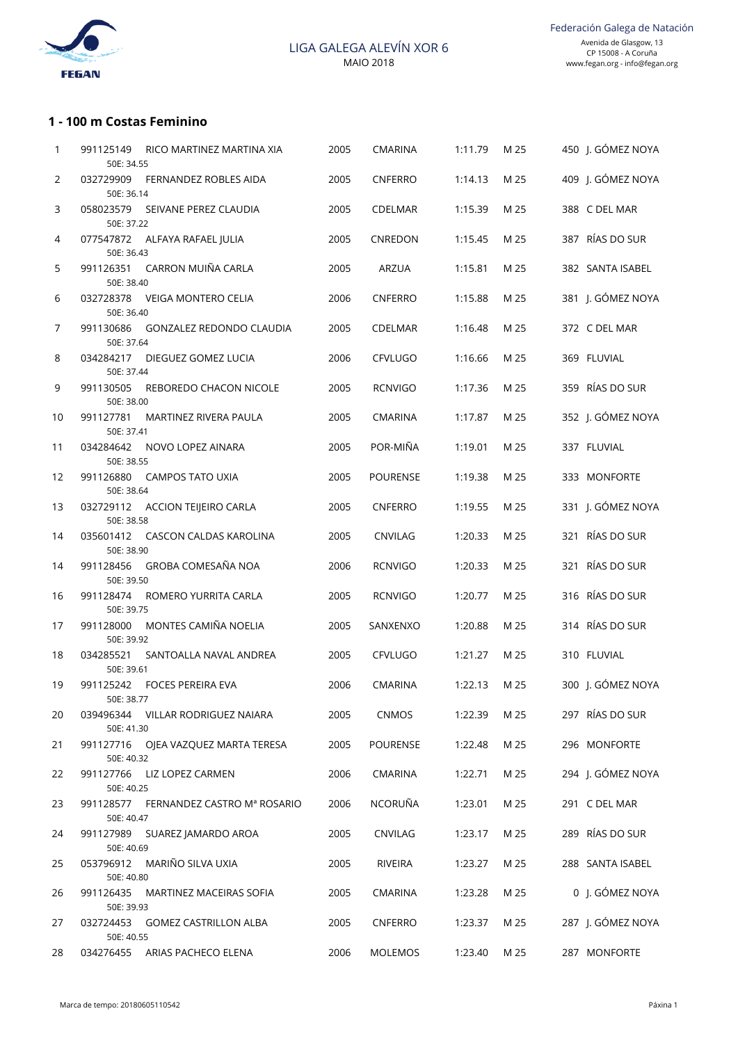

## **1 - 100 m Costas Feminino**

| 1              | 991125149<br>50E: 34.55 | RICO MARTINEZ MARTINA XIA             | 2005 | CMARINA         | 1:11.79 | M 25 | 450 J. GÓMEZ NOYA |
|----------------|-------------------------|---------------------------------------|------|-----------------|---------|------|-------------------|
| $\overline{2}$ | 032729909<br>50E: 36.14 | FERNANDEZ ROBLES AIDA                 | 2005 | CNFERRO         | 1:14.13 | M 25 | 409 J. GÓMEZ NOYA |
| 3              | 50E: 37.22              | 058023579 SEIVANE PEREZ CLAUDIA       | 2005 | <b>CDELMAR</b>  | 1:15.39 | M 25 | 388 C DEL MAR     |
| 4              | 50E: 36.43              | 077547872 ALFAYA RAFAEL JULIA         | 2005 | CNREDON         | 1:15.45 | M 25 | 387 RÍAS DO SUR   |
| 5              | 991126351<br>50E: 38.40 | CARRON MUIÑA CARLA                    | 2005 | <b>ARZUA</b>    | 1:15.81 | M 25 | 382 SANTA ISABEL  |
| 6              | 032728378<br>50E: 36.40 | VEIGA MONTERO CELIA                   | 2006 | CNFERRO         | 1:15.88 | M 25 | 381 J. GÓMEZ NOYA |
| 7              | 991130686<br>50E: 37.64 | GONZALEZ REDONDO CLAUDIA              | 2005 | CDELMAR         | 1:16.48 | M 25 | 372 C DEL MAR     |
| 8              | 034284217<br>50E: 37.44 | DIEGUEZ GOMEZ LUCIA                   | 2006 | <b>CFVLUGO</b>  | 1:16.66 | M 25 | 369 FLUVIAL       |
| 9              | 991130505<br>50E: 38.00 | REBOREDO CHACON NICOLE                | 2005 | <b>RCNVIGO</b>  | 1:17.36 | M 25 | 359 RÍAS DO SUR   |
| 10             | 991127781<br>50E: 37.41 | MARTINEZ RIVERA PAULA                 | 2005 | <b>CMARINA</b>  | 1:17.87 | M 25 | 352 J. GÓMEZ NOYA |
| 11             | 034284642<br>50E: 38.55 | NOVO LOPEZ AINARA                     | 2005 | POR-MIÑA        | 1:19.01 | M 25 | 337 FLUVIAL       |
| 12             | 991126880<br>50E: 38.64 | <b>CAMPOS TATO UXIA</b>               | 2005 | <b>POURENSE</b> | 1:19.38 | M 25 | 333 MONFORTE      |
| 13             | 50E: 38.58              | 032729112 ACCION TEIJEIRO CARLA       | 2005 | CNFERRO         | 1:19.55 | M 25 | 331 J. GÓMEZ NOYA |
| 14             | 50E: 38.90              | 035601412 CASCON CALDAS KAROLINA      | 2005 | <b>CNVILAG</b>  | 1:20.33 | M 25 | 321 RÍAS DO SUR   |
| 14             | 991128456<br>50E: 39.50 | GROBA COMESAÑA NOA                    | 2006 | <b>RCNVIGO</b>  | 1:20.33 | M 25 | 321 RÍAS DO SUR   |
| 16             | 991128474<br>50E: 39.75 | ROMERO YURRITA CARLA                  | 2005 | <b>RCNVIGO</b>  | 1:20.77 | M 25 | 316 RÍAS DO SUR   |
| 17             | 991128000<br>50E: 39.92 | MONTES CAMIÑA NOELIA                  | 2005 | SANXENXO        | 1:20.88 | M 25 | 314 RÍAS DO SUR   |
| 18             | 034285521<br>50E: 39.61 | SANTOALLA NAVAL ANDREA                | 2005 | <b>CFVLUGO</b>  | 1:21.27 | M 25 | 310 FLUVIAL       |
| 19             | 50E: 38.77              | 991125242 FOCES PEREIRA EVA           | 2006 | <b>CMARINA</b>  | 1:22.13 | M 25 | 300 J. GÓMEZ NOYA |
| 20             | 50E: 41.30              | 039496344 VILLAR RODRIGUEZ NAIARA     | 2005 | <b>CNMOS</b>    | 1:22.39 | M 25 | 297 RÍAS DO SUR   |
| 21             | 50E: 40.32              | 991127716 OJEA VAZQUEZ MARTA TERESA   | 2005 | <b>POURENSE</b> | 1:22.48 | M 25 | 296 MONFORTE      |
| 22             | 991127766<br>50E: 40.25 | LIZ LOPEZ CARMEN                      | 2006 | <b>CMARINA</b>  | 1:22.71 | M 25 | 294 J. GÓMEZ NOYA |
| 23             | 50E: 40.47              | 991128577 FERNANDEZ CASTRO Mª ROSARIO | 2006 | NCORUÑA         | 1:23.01 | M 25 | 291 C DEL MAR     |
| 24             | 50E: 40.69              | 991127989 SUAREZ JAMARDO AROA         | 2005 | CNVILAG         | 1:23.17 | M 25 | 289 RÍAS DO SUR   |
| 25             | 50E: 40.80              | 053796912 MARIÑO SILVA UXIA           | 2005 | RIVEIRA         | 1:23.27 | M 25 | 288 SANTA ISABEL  |
| 26             | 991126435<br>50E: 39.93 | MARTINEZ MACEIRAS SOFIA               | 2005 | CMARINA         | 1:23.28 | M 25 | 0 J. GÓMEZ NOYA   |
| 27             | 50E: 40.55              | 032724453 GOMEZ CASTRILLON ALBA       | 2005 | <b>CNFERRO</b>  | 1:23.37 | M 25 | 287 J. GÓMEZ NOYA |
| 28             |                         | 034276455 ARIAS PACHECO ELENA         | 2006 | MOLEMOS         | 1:23.40 | M 25 | 287 MONFORTE      |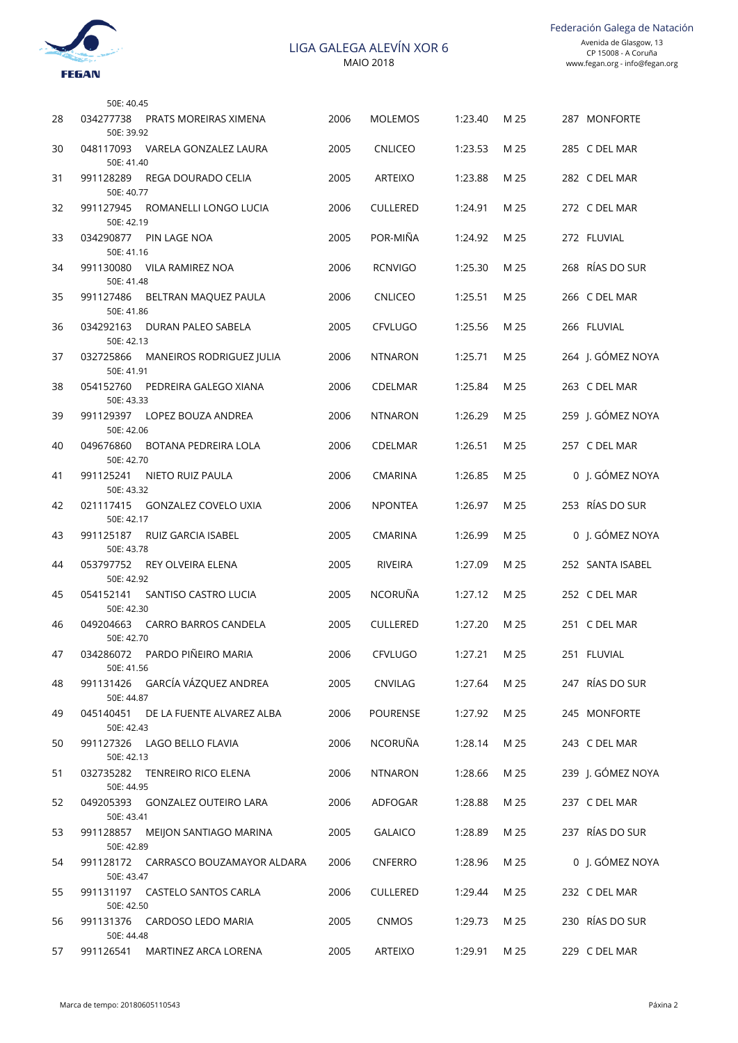

|    | 50E: 40.45                                           |      |                 |         |      |                   |
|----|------------------------------------------------------|------|-----------------|---------|------|-------------------|
| 28 | 034277738<br>PRATS MOREIRAS XIMENA<br>50E: 39.92     | 2006 | <b>MOLEMOS</b>  | 1:23.40 | M 25 | 287 MONFORTE      |
| 30 | 048117093<br>VARELA GONZALEZ LAURA<br>50E: 41.40     | 2005 | <b>CNLICEO</b>  | 1:23.53 | M 25 | 285 C DEL MAR     |
| 31 | 991128289<br>REGA DOURADO CELIA<br>50E: 40.77        | 2005 | <b>ARTEIXO</b>  | 1:23.88 | M 25 | 282 C DEL MAR     |
| 32 | 991127945<br>ROMANELLI LONGO LUCIA<br>50E: 42.19     | 2006 | <b>CULLERED</b> | 1:24.91 | M 25 | 272 C DEL MAR     |
| 33 | 034290877<br>PIN LAGE NOA<br>50E: 41.16              | 2005 | POR-MIÑA        | 1:24.92 | M 25 | 272 FLUVIAL       |
| 34 | 991130080<br>VILA RAMIREZ NOA<br>50E: 41.48          | 2006 | <b>RCNVIGO</b>  | 1:25.30 | M 25 | 268 RÍAS DO SUR   |
| 35 | 991127486<br>BELTRAN MAQUEZ PAULA<br>50E: 41.86      | 2006 | <b>CNLICEO</b>  | 1:25.51 | M 25 | 266 C DEL MAR     |
| 36 | 034292163<br>DURAN PALEO SABELA<br>50E: 42.13        | 2005 | <b>CFVLUGO</b>  | 1:25.56 | M 25 | 266 FLUVIAL       |
| 37 | 032725866<br>MANEIROS RODRIGUEZ JULIA<br>50E: 41.91  | 2006 | <b>NTNARON</b>  | 1:25.71 | M 25 | 264 J. GÓMEZ NOYA |
| 38 | 054152760<br>PEDREIRA GALEGO XIANA<br>50E: 43.33     | 2006 | CDELMAR         | 1:25.84 | M 25 | 263 C DEL MAR     |
| 39 | 991129397<br>LOPEZ BOUZA ANDREA<br>50E: 42.06        | 2006 | <b>NTNARON</b>  | 1:26.29 | M 25 | 259 J. GÓMEZ NOYA |
| 40 | 049676860<br>BOTANA PEDREIRA LOLA<br>50E: 42.70      | 2006 | <b>CDELMAR</b>  | 1:26.51 | M 25 | 257 C DEL MAR     |
| 41 | 991125241<br>NIETO RUIZ PAULA<br>50E: 43.32          | 2006 | <b>CMARINA</b>  | 1:26.85 | M 25 | 0 J. GÓMEZ NOYA   |
| 42 | 021117415<br>GONZALEZ COVELO UXIA<br>50E: 42.17      | 2006 | <b>NPONTEA</b>  | 1:26.97 | M 25 | 253 RÍAS DO SUR   |
| 43 | 991125187<br>RUIZ GARCIA ISABEL<br>50E: 43.78        | 2005 | <b>CMARINA</b>  | 1:26.99 | M 25 | 0 J. GÓMEZ NOYA   |
| 44 | 053797752<br>REY OLVEIRA ELENA<br>50E: 42.92         | 2005 | RIVEIRA         | 1:27.09 | M 25 | 252 SANTA ISABEL  |
| 45 | 054152141<br>SANTISO CASTRO LUCIA<br>50E: 42.30      | 2005 | <b>NCORUÑA</b>  | 1:27.12 | M 25 | 252 C DEL MAR     |
| 46 | 049204663<br>CARRO BARROS CANDELA<br>50E: 42.70      | 2005 | <b>CULLERED</b> | 1:27.20 | M 25 | 251 C DEL MAR     |
| 47 | 034286072 PARDO PIÑEIRO MARIA<br>50E: 41.56          | 2006 | <b>CFVLUGO</b>  | 1:27.21 | M 25 | 251 FLUVIAL       |
| 48 | 991131426 GARCÍA VÁZQUEZ ANDREA<br>50E: 44.87        | 2005 | CNVILAG         | 1:27.64 | M 25 | 247 RÍAS DO SUR   |
| 49 | 045140451<br>DE LA FUENTE ALVAREZ ALBA<br>50E: 42.43 | 2006 | <b>POURENSE</b> | 1:27.92 | M 25 | 245 MONFORTE      |
| 50 | 991127326 LAGO BELLO FLAVIA<br>50E: 42.13            | 2006 | NCORUÑA         | 1:28.14 | M 25 | 243 C DEL MAR     |
| 51 | 032735282<br>TENREIRO RICO ELENA<br>50E: 44.95       | 2006 | <b>NTNARON</b>  | 1:28.66 | M 25 | 239 J. GÓMEZ NOYA |
| 52 | 049205393 GONZALEZ OUTEIRO LARA<br>50E: 43.41        | 2006 | ADFOGAR         | 1:28.88 | M 25 | 237 C DEL MAR     |
| 53 | 991128857<br>MEIJON SANTIAGO MARINA<br>50E: 42.89    | 2005 | <b>GALAICO</b>  | 1:28.89 | M 25 | 237 RÍAS DO SUR   |
| 54 | 991128172 CARRASCO BOUZAMAYOR ALDARA<br>50E: 43.47   | 2006 | <b>CNFERRO</b>  | 1:28.96 | M 25 | 0 J. GÓMEZ NOYA   |
| 55 | 991131197 CASTELO SANTOS CARLA<br>50E: 42.50         | 2006 | <b>CULLERED</b> | 1:29.44 | M 25 | 232 C DEL MAR     |
| 56 | 991131376 CARDOSO LEDO MARIA<br>50E: 44.48           | 2005 | <b>CNMOS</b>    | 1:29.73 | M 25 | 230 RÍAS DO SUR   |
| 57 | 991126541 MARTINEZ ARCA LORENA                       | 2005 | ARTEIXO         | 1:29.91 | M 25 | 229 C DEL MAR     |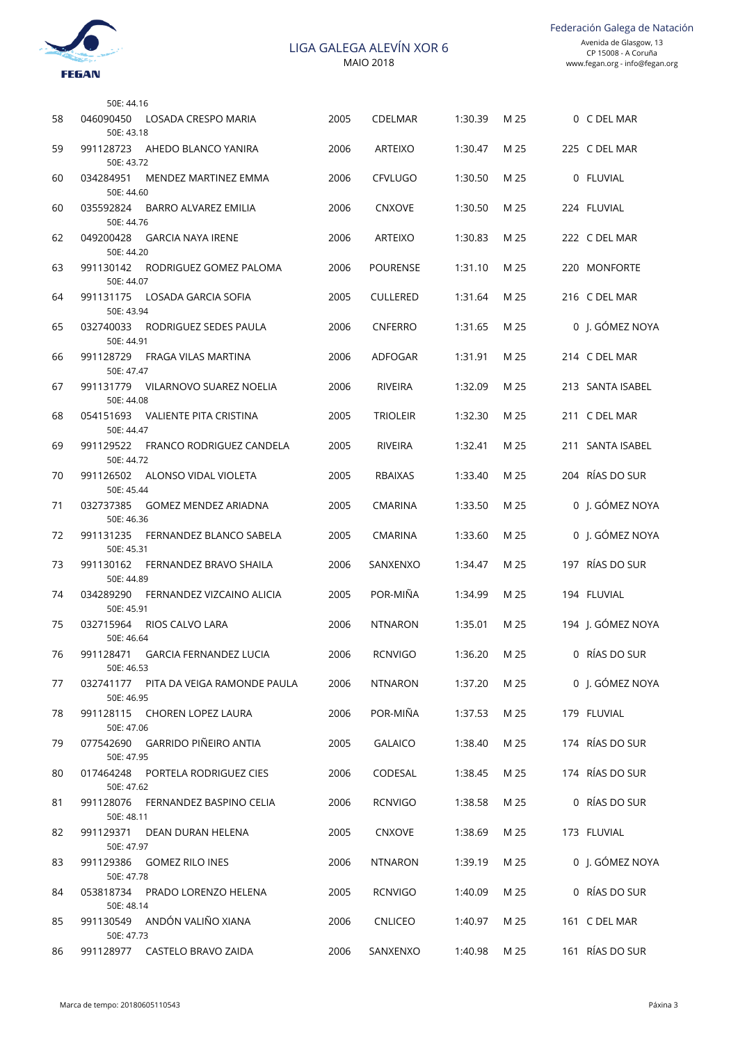

|    | 50E: 44.16                                             |      |                 |         |      |                   |
|----|--------------------------------------------------------|------|-----------------|---------|------|-------------------|
| 58 | 046090450<br>LOSADA CRESPO MARIA<br>50E: 43.18         | 2005 | <b>CDELMAR</b>  | 1:30.39 | M 25 | 0 C DEL MAR       |
| 59 | 991128723<br>AHEDO BLANCO YANIRA<br>50E: 43.72         | 2006 | <b>ARTEIXO</b>  | 1:30.47 | M 25 | 225 C DEL MAR     |
| 60 | 034284951<br>MENDEZ MARTINEZ EMMA<br>50E: 44.60        | 2006 | <b>CFVLUGO</b>  | 1:30.50 | M 25 | 0 FLUVIAL         |
| 60 | 035592824<br>BARRO ALVAREZ EMILIA<br>50E: 44.76        | 2006 | <b>CNXOVE</b>   | 1:30.50 | M 25 | 224 FLUVIAL       |
| 62 | 049200428<br><b>GARCIA NAYA IRENE</b><br>50E: 44.20    | 2006 | <b>ARTEIXO</b>  | 1:30.83 | M 25 | 222 C DEL MAR     |
| 63 | 991130142<br>RODRIGUEZ GOMEZ PALOMA<br>50E: 44.07      | 2006 | POURENSE        | 1:31.10 | M 25 | 220 MONFORTE      |
| 64 | 991131175<br>LOSADA GARCIA SOFIA<br>50E: 43.94         | 2005 | <b>CULLERED</b> | 1:31.64 | M 25 | 216 C DEL MAR     |
| 65 | 032740033<br>RODRIGUEZ SEDES PAULA<br>50E: 44.91       | 2006 | <b>CNFERRO</b>  | 1:31.65 | M 25 | 0 J. GÓMEZ NOYA   |
| 66 | 991128729<br>FRAGA VILAS MARTINA<br>50E: 47.47         | 2006 | ADFOGAR         | 1:31.91 | M 25 | 214 C DEL MAR     |
| 67 | 991131779<br>VILARNOVO SUAREZ NOELIA<br>50E: 44.08     | 2006 | <b>RIVEIRA</b>  | 1:32.09 | M 25 | 213 SANTA ISABEL  |
| 68 | 054151693<br>VALIENTE PITA CRISTINA<br>50E: 44.47      | 2005 | <b>TRIOLEIR</b> | 1:32.30 | M 25 | 211 C DEL MAR     |
| 69 | 991129522<br>FRANCO RODRIGUEZ CANDELA<br>50E: 44.72    | 2005 | <b>RIVEIRA</b>  | 1:32.41 | M 25 | 211 SANTA ISABEL  |
| 70 | 991126502<br>ALONSO VIDAL VIOLETA<br>50E: 45.44        | 2005 | <b>RBAIXAS</b>  | 1:33.40 | M 25 | 204 RÍAS DO SUR   |
| 71 | 032737385<br><b>GOMEZ MENDEZ ARIADNA</b><br>50E: 46.36 | 2005 | <b>CMARINA</b>  | 1:33.50 | M 25 | 0 J. GÓMEZ NOYA   |
| 72 | 991131235<br>FERNANDEZ BLANCO SABELA<br>50E: 45.31     | 2005 | <b>CMARINA</b>  | 1:33.60 | M 25 | 0 J. GÓMEZ NOYA   |
| 73 | 991130162<br>FERNANDEZ BRAVO SHAILA<br>50E: 44.89      | 2006 | SANXENXO        | 1:34.47 | M 25 | 197 RÍAS DO SUR   |
| 74 | 034289290<br>FERNANDEZ VIZCAINO ALICIA<br>50E: 45.91   | 2005 | POR-MIÑA        | 1:34.99 | M 25 | 194 FLUVIAL       |
| 75 | 032715964<br>RIOS CALVO LARA<br>50E: 46.64             | 2006 | <b>NTNARON</b>  | 1:35.01 | M 25 | 194 J. GÓMEZ NOYA |
| 76 | 991128471 GARCIA FERNANDEZ LUCIA<br>50E: 46.53         | 2006 | <b>RCNVIGO</b>  | 1:36.20 | M 25 | 0 RÍAS DO SUR     |
| 77 | 032741177 PITA DA VEIGA RAMONDE PAULA<br>50E: 46.95    | 2006 | <b>NTNARON</b>  | 1:37.20 | M 25 | 0 J. GÓMEZ NOYA   |
| 78 | 991128115 CHOREN LOPEZ LAURA<br>50E: 47.06             | 2006 | POR-MIÑA        | 1:37.53 | M 25 | 179 FLUVIAL       |
| 79 | 077542690 GARRIDO PIÑEIRO ANTIA<br>50E: 47.95          | 2005 | <b>GALAICO</b>  | 1:38.40 | M 25 | 174 RÍAS DO SUR   |
| 80 | 017464248<br>PORTELA RODRIGUEZ CIES<br>50E: 47.62      | 2006 | CODESAL         | 1:38.45 | M 25 | 174 RÍAS DO SUR   |
| 81 | 991128076<br>FERNANDEZ BASPINO CELIA<br>50E: 48.11     | 2006 | <b>RCNVIGO</b>  | 1:38.58 | M 25 | 0 RÍAS DO SUR     |
| 82 | 991129371<br>DEAN DURAN HELENA<br>50E: 47.97           | 2005 | <b>CNXOVE</b>   | 1:38.69 | M 25 | 173 FLUVIAL       |
| 83 | 991129386<br>GOMEZ RILO INES<br>50E: 47.78             | 2006 | <b>NTNARON</b>  | 1:39.19 | M 25 | 0 J. GÓMEZ NOYA   |
| 84 | 053818734<br>PRADO LORENZO HELENA<br>50E: 48.14        | 2005 | <b>RCNVIGO</b>  | 1:40.09 | M 25 | 0 RÍAS DO SUR     |
| 85 | 991130549 ANDÓN VALIÑO XIANA<br>50E: 47.73             | 2006 | <b>CNLICEO</b>  | 1:40.97 | M 25 | 161 C DEL MAR     |
| 86 | 991128977 CASTELO BRAVO ZAIDA                          | 2006 | SANXENXO        | 1:40.98 | M 25 | 161 RÍAS DO SUR   |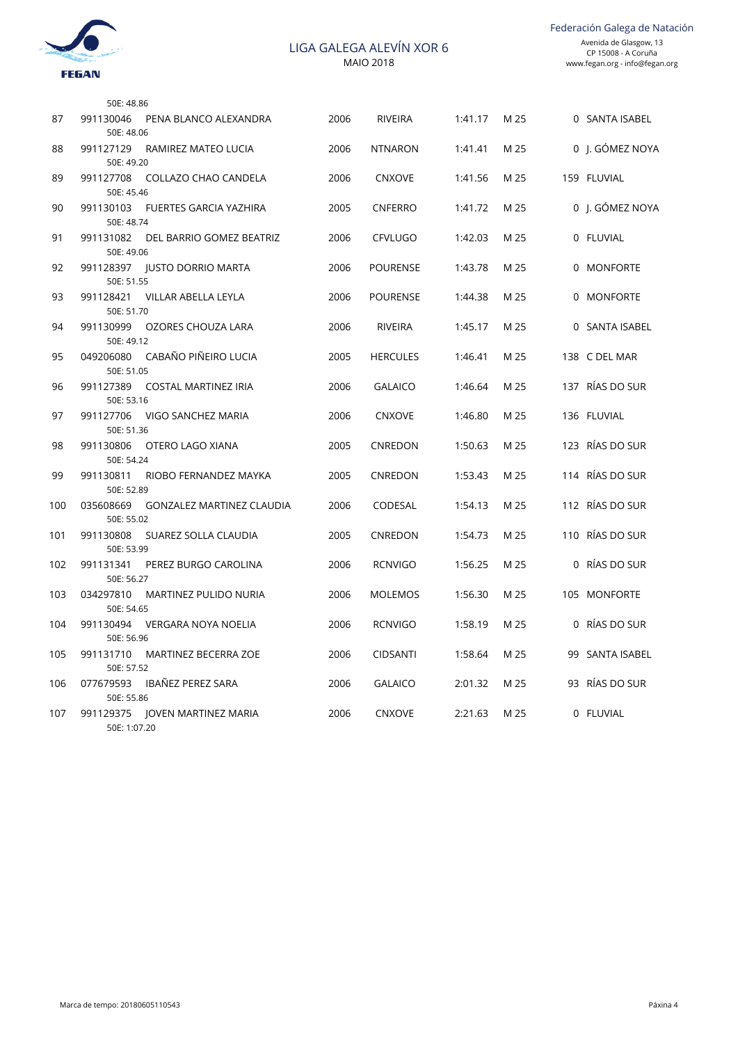

Federación Galega de Natación

|     | 50E: 48.86                                             |      |                 |         |      |                 |
|-----|--------------------------------------------------------|------|-----------------|---------|------|-----------------|
| 87  | 991130046<br>PENA BLANCO ALEXANDRA<br>50E: 48.06       | 2006 | RIVEIRA         | 1:41.17 | M 25 | 0 SANTA ISABEL  |
| 88  | 991127129<br>RAMIREZ MATEO LUCIA<br>50E: 49.20         | 2006 | <b>NTNARON</b>  | 1:41.41 | M 25 | 0 J. GÓMEZ NOYA |
| 89  | COLLAZO CHAO CANDELA<br>991127708<br>50E: 45.46        | 2006 | <b>CNXOVE</b>   | 1:41.56 | M 25 | 159 FLUVIAL     |
| 90  | 991130103<br>FUERTES GARCIA YAZHIRA<br>50E: 48.74      | 2005 | <b>CNFERRO</b>  | 1:41.72 | M 25 | 0 I. GÓMEZ NOYA |
| 91  | 991131082<br>DEL BARRIO GOMEZ BEATRIZ<br>50E: 49.06    | 2006 | <b>CFVLUGO</b>  | 1:42.03 | M 25 | 0 FLUVIAL       |
| 92  | 991128397   IUSTO DORRIO MARTA<br>50E: 51.55           | 2006 | <b>POURENSE</b> | 1:43.78 | M 25 | 0 MONFORTE      |
| 93  | 991128421<br>VILLAR ABELLA LEYLA<br>50E: 51.70         | 2006 | <b>POURENSE</b> | 1:44.38 | M 25 | 0 MONFORTE      |
| 94  | 991130999<br>OZORES CHOUZA LARA<br>50E: 49.12          | 2006 | RIVEIRA         | 1:45.17 | M 25 | 0 SANTA ISABEL  |
| 95  | CABAÑO PIÑEIRO LUCIA<br>049206080<br>50E: 51.05        | 2005 | <b>HERCULES</b> | 1:46.41 | M 25 | 138 C DEL MAR   |
| 96  | COSTAL MARTINEZ IRIA<br>991127389<br>50E: 53.16        | 2006 | <b>GALAICO</b>  | 1:46.64 | M 25 | 137 RÍAS DO SUR |
| 97  | 991127706<br>VIGO SANCHEZ MARIA<br>50E: 51.36          | 2006 | <b>CNXOVE</b>   | 1:46.80 | M 25 | 136 FLUVIAL     |
| 98  | 991130806<br>OTERO LAGO XIANA<br>50E: 54.24            | 2005 | CNREDON         | 1:50.63 | M 25 | 123 RÍAS DO SUR |
| 99  | 991130811<br>RIOBO FERNANDEZ MAYKA<br>50E: 52.89       | 2005 | <b>CNREDON</b>  | 1:53.43 | M 25 | 114 RÍAS DO SUR |
| 100 | GONZALEZ MARTINEZ CLAUDIA<br>035608669<br>50E: 55.02   | 2006 | CODESAL         | 1:54.13 | M 25 | 112 RÍAS DO SUR |
| 101 | 991130808<br>SUAREZ SOLLA CLAUDIA<br>50E: 53.99        | 2005 | CNREDON         | 1:54.73 | M 25 | 110 RÍAS DO SUR |
| 102 | 991131341<br>PEREZ BURGO CAROLINA<br>50E: 56.27        | 2006 | <b>RCNVIGO</b>  | 1:56.25 | M 25 | 0 RÍAS DO SUR   |
| 103 | 034297810<br>MARTINEZ PULIDO NURIA<br>50E: 54.65       | 2006 | <b>MOLEMOS</b>  | 1:56.30 | M 25 | 105 MONFORTE    |
| 104 | 991130494<br>VERGARA NOYA NOELIA<br>50E: 56.96         | 2006 | <b>RCNVIGO</b>  | 1:58.19 | M 25 | 0 RÍAS DO SUR   |
| 105 | 991131710<br><b>MARTINEZ BECERRA ZOE</b><br>50E: 57.52 | 2006 | <b>CIDSANTI</b> | 1:58.64 | M 25 | 99 SANTA ISABEL |
| 106 | IBAÑEZ PEREZ SARA<br>077679593<br>50E: 55.86           | 2006 | <b>GALAICO</b>  | 2:01.32 | M 25 | 93 RÍAS DO SUR  |
| 107 | 991129375 JOVEN MARTINEZ MARIA<br>50E: 1:07.20         | 2006 | <b>CNXOVE</b>   | 2:21.63 | M 25 | 0 FLUVIAL       |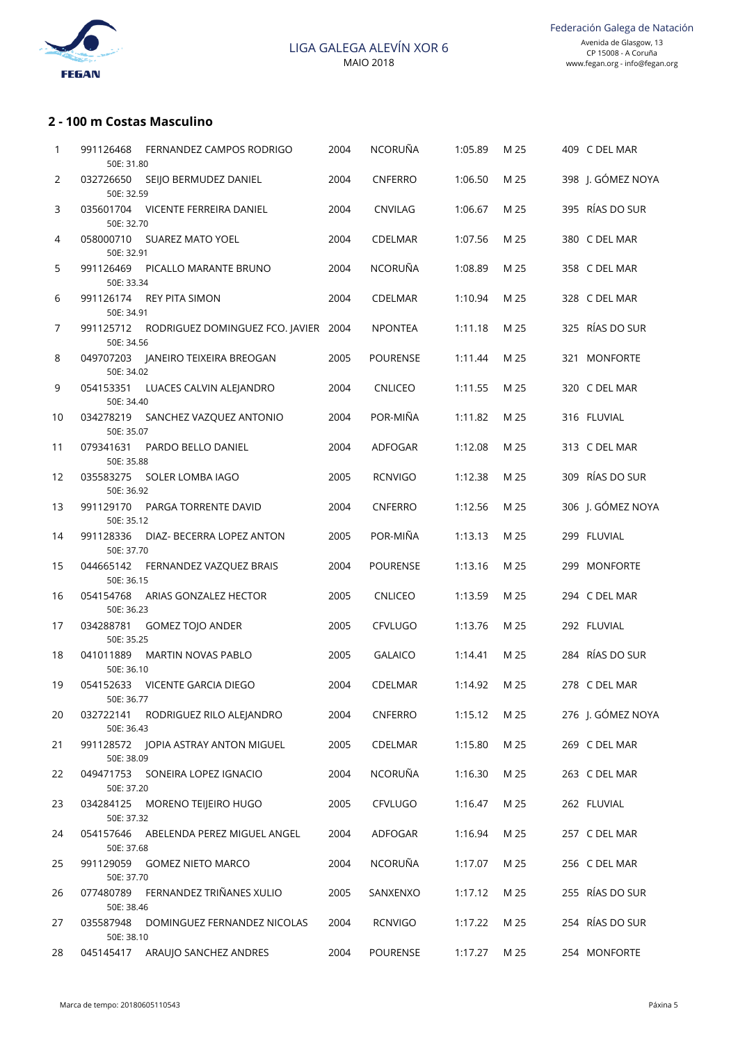

### **2 - 100 m Costas Masculino**

| 1              | 991126468<br>50E: 31.80 | FERNANDEZ CAMPOS RODRIGO                       | 2004 | <b>NCORUÑA</b>  | 1:05.89 | M 25 | 409 C DEL MAR     |
|----------------|-------------------------|------------------------------------------------|------|-----------------|---------|------|-------------------|
| $\overline{2}$ | 50E: 32.59              | 032726650 SEIJO BERMUDEZ DANIEL                | 2004 | <b>CNFERRO</b>  | 1:06.50 | M 25 | 398 J. GÓMEZ NOYA |
| 3              | 50E: 32.70              | 035601704 VICENTE FERREIRA DANIEL              | 2004 | CNVILAG         | 1:06.67 | M 25 | 395 RÍAS DO SUR   |
| 4              | 50E: 32.91              | 058000710 SUAREZ MATO YOEL                     | 2004 | <b>CDELMAR</b>  | 1:07.56 | M 25 | 380 C DEL MAR     |
| 5              | 991126469<br>50E: 33.34 | PICALLO MARANTE BRUNO                          | 2004 | <b>NCORUÑA</b>  | 1:08.89 | M 25 | 358 C DEL MAR     |
| 6              | 50E: 34.91              | 991126174 REY PITA SIMON                       | 2004 | <b>CDELMAR</b>  | 1:10.94 | M 25 | 328 C DEL MAR     |
| 7              | 50E: 34.56              | 991125712 RODRIGUEZ DOMINGUEZ FCO. JAVIER 2004 |      | NPONTEA         | 1:11.18 | M 25 | 325 RÍAS DO SUR   |
| 8              | 50E: 34.02              | 049707203 JANEIRO TEIXEIRA BREOGAN             | 2005 | <b>POURENSE</b> | 1:11.44 | M 25 | 321 MONFORTE      |
| 9              | 50E: 34.40              | 054153351 LUACES CALVIN ALEJANDRO              | 2004 | <b>CNLICEO</b>  | 1:11.55 | M 25 | 320 C DEL MAR     |
| 10             | 50E: 35.07              | 034278219 SANCHEZ VAZQUEZ ANTONIO              | 2004 | POR-MIÑA        | 1:11.82 | M 25 | 316 FLUVIAL       |
| 11             | 079341631<br>50E: 35.88 | PARDO BELLO DANIEL                             | 2004 | ADFOGAR         | 1:12.08 | M 25 | 313 C DEL MAR     |
| 12             | 50E: 36.92              | 035583275 SOLER LOMBA IAGO                     | 2005 | <b>RCNVIGO</b>  | 1:12.38 | M 25 | 309 RÍAS DO SUR   |
| 13             | 50E: 35.12              | 991129170 PARGA TORRENTE DAVID                 | 2004 | <b>CNFERRO</b>  | 1:12.56 | M 25 | 306 J. GÓMEZ NOYA |
| 14             | 991128336<br>50E: 37.70 | DIAZ- BECERRA LOPEZ ANTON                      | 2005 | POR-MIÑA        | 1:13.13 | M 25 | 299 FLUVIAL       |
| 15             | 044665142<br>50E: 36.15 | FERNANDEZ VAZQUEZ BRAIS                        | 2004 | <b>POURENSE</b> | 1:13.16 | M 25 | 299 MONFORTE      |
| 16             | 054154768<br>50E: 36.23 | ARIAS GONZALEZ HECTOR                          | 2005 | <b>CNLICEO</b>  | 1:13.59 | M 25 | 294 C DEL MAR     |
| 17             | 034288781<br>50E: 35.25 | GOMEZ TOJO ANDER                               | 2005 | <b>CFVLUGO</b>  | 1:13.76 | M 25 | 292 FLUVIAL       |
| 18             | 041011889<br>50E: 36.10 | MARTIN NOVAS PABLO                             | 2005 | <b>GALAICO</b>  | 1:14.41 | M 25 | 284 RÍAS DO SUR   |
| 19             | 50E: 36.77              | 054152633 VICENTE GARCIA DIEGO                 | 2004 | <b>CDELMAR</b>  | 1:14.92 | M 25 | 278 C DEL MAR     |
| 20             | 032722141<br>50E: 36.43 | RODRIGUEZ RILO ALEJANDRO                       | 2004 | <b>CNFERRO</b>  | 1:15.12 | M 25 | 276 J. GÓMEZ NOYA |
| 21             | 50E: 38.09              |                                                | 2005 | CDELMAR         | 1:15.80 | M 25 | 269 C DEL MAR     |
| 22             | 50E: 37.20              | 049471753 SONEIRA LOPEZ IGNACIO                | 2004 | NCORUÑA         | 1:16.30 | M 25 | 263 C DEL MAR     |
| 23             | 50E: 37.32              | 034284125 MORENO TEIJEIRO HUGO                 | 2005 | <b>CFVLUGO</b>  | 1:16.47 | M 25 | 262 FLUVIAL       |
| 24             | 50E: 37.68              | 054157646 ABELENDA PEREZ MIGUEL ANGEL          | 2004 | ADFOGAR         | 1:16.94 | M 25 | 257 C DEL MAR     |
| 25             | 50E: 37.70              | 991129059 GOMEZ NIETO MARCO                    | 2004 | NCORUÑA         | 1:17.07 | M 25 | 256 C DEL MAR     |
| 26             | 50E: 38.46              | 077480789 FERNANDEZ TRIÑANES XULIO             | 2005 | SANXENXO        | 1:17.12 | M 25 | 255 RÍAS DO SUR   |
| 27             | 035587948<br>50E: 38.10 | DOMINGUEZ FERNANDEZ NICOLAS                    | 2004 | <b>RCNVIGO</b>  | 1:17.22 | M 25 | 254 RÍAS DO SUR   |
| 28             |                         | 045145417 ARAUJO SANCHEZ ANDRES                | 2004 | POURENSE        | 1:17.27 | M 25 | 254 MONFORTE      |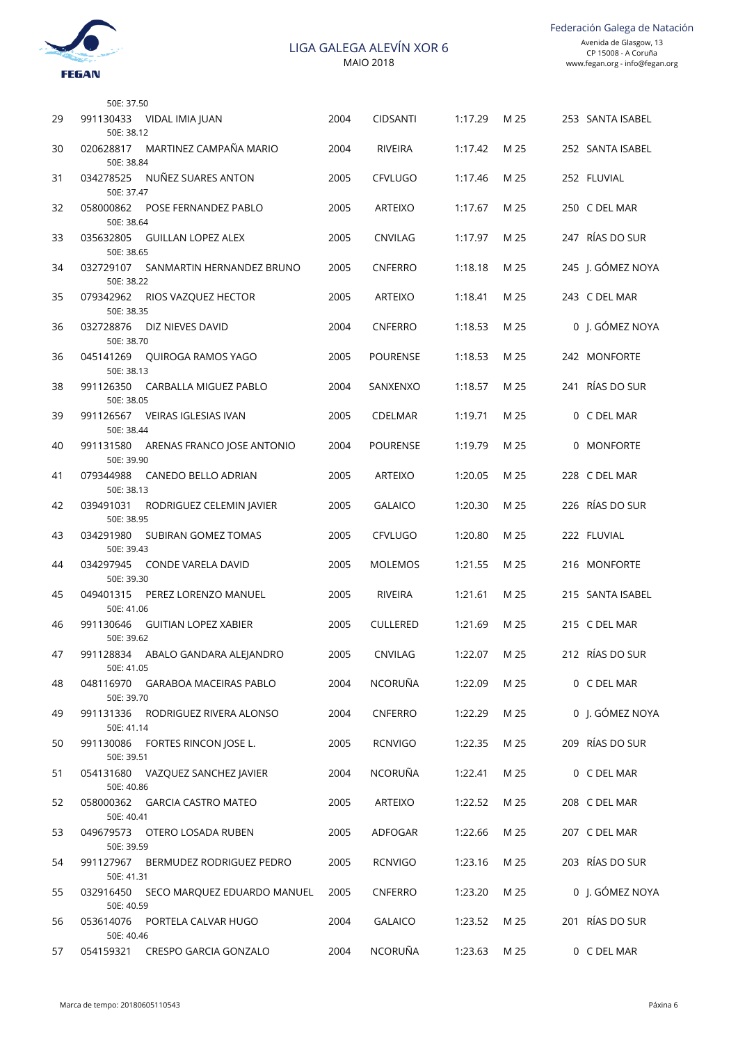

|    | 50E: 37.50                                            |      |                 |              |      |                    |
|----|-------------------------------------------------------|------|-----------------|--------------|------|--------------------|
| 29 | 991130433 VIDAL IMIA JUAN<br>50E: 38.12               | 2004 | <b>CIDSANTI</b> | 1:17.29      | M 25 | 253 SANTA ISABEL   |
| 30 | MARTINEZ CAMPAÑA MARIO<br>020628817<br>50E: 38.84     | 2004 | <b>RIVEIRA</b>  | 1:17.42      | M 25 | 252 SANTA ISABEL   |
| 31 | NUÑEZ SUARES ANTON<br>034278525<br>50E: 37.47         | 2005 | <b>CFVLUGO</b>  | 1:17.46      | M 25 | 252 FLUVIAL        |
| 32 | 058000862<br>POSE FERNANDEZ PABLO<br>50E: 38.64       | 2005 | <b>ARTEIXO</b>  | 1:17.67      | M 25 | 250 C DEL MAR      |
| 33 | 035632805<br>GUILLAN LOPEZ ALEX<br>50E: 38.65         | 2005 | <b>CNVILAG</b>  | 1:17.97      | M 25 | 247 RÍAS DO SUR    |
| 34 | 032729107<br>SANMARTIN HERNANDEZ BRUNO<br>50E: 38.22  | 2005 | <b>CNFERRO</b>  | 1:18.18      | M 25 | 245 J. GÓMEZ NOYA  |
| 35 | 079342962<br>RIOS VAZQUEZ HECTOR<br>50E: 38.35        | 2005 | <b>ARTEIXO</b>  | 1:18.41      | M 25 | 243 C DEL MAR      |
| 36 | 032728876<br>DIZ NIEVES DAVID<br>50E: 38.70           | 2004 | <b>CNFERRO</b>  | 1:18.53      | M 25 | 0 J. GÓMEZ NOYA    |
| 36 | 045141269 OUIROGA RAMOS YAGO<br>50E: 38.13            | 2005 | <b>POURENSE</b> | 1:18.53      | M 25 | 242 MONFORTE       |
| 38 | 991126350<br>CARBALLA MIGUEZ PABLO<br>50E: 38.05      | 2004 | SANXENXO        | 1:18.57      | M 25 | RÍAS DO SUR<br>241 |
| 39 | 991126567 VEIRAS IGLESIAS IVAN<br>50E: 38.44          | 2005 | <b>CDELMAR</b>  | 1:19.71      | M 25 | 0 C DEL MAR        |
| 40 | 991131580<br>ARENAS FRANCO JOSE ANTONIO<br>50E: 39.90 | 2004 | <b>POURENSE</b> | 1:19.79      | M 25 | 0 MONFORTE         |
| 41 | 079344988<br>CANEDO BELLO ADRIAN<br>50E: 38.13        | 2005 | <b>ARTEIXO</b>  | 1:20.05      | M 25 | 228 C DEL MAR      |
| 42 | 039491031<br>RODRIGUEZ CELEMIN JAVIER<br>50E: 38.95   | 2005 | <b>GALAICO</b>  | 1:20.30      | M 25 | 226 RÍAS DO SUR    |
| 43 | 034291980<br>SUBIRAN GOMEZ TOMAS<br>50E: 39.43        | 2005 | <b>CFVLUGO</b>  | 1:20.80      | M 25 | 222 FLUVIAL        |
| 44 | 034297945<br>CONDE VARELA DAVID<br>50E: 39.30         | 2005 | <b>MOLEMOS</b>  | 1:21.55      | M 25 | 216 MONFORTE       |
| 45 | 049401315<br>PEREZ LORENZO MANUEL<br>50E: 41.06       | 2005 | RIVEIRA         | 1:21.61      | M 25 | 215 SANTA ISABEL   |
| 46 | 991130646<br>GUITIAN LOPEZ XABIER<br>50E: 39.62       | 2005 | <b>CULLERED</b> | 1:21.69      | M 25 | 215 C DEL MAR      |
| 47 | 991128834 ABALO GANDARA ALEJANDRO<br>50E: 41.05       | 2005 | CNVILAG         | 1:22.07 M 25 |      | 212 RÍAS DO SUR    |
| 48 | 048116970 GARABOA MACEIRAS PABLO<br>50E: 39.70        | 2004 | NCORUÑA         | 1:22.09      | M 25 | 0 C DEL MAR        |
| 49 | 991131336 RODRIGUEZ RIVERA ALONSO<br>50E: 41.14       | 2004 | <b>CNFERRO</b>  | 1:22.29      | M 25 | 0 J. GÓMEZ NOYA    |
| 50 | 991130086 FORTES RINCON JOSE L.<br>50E: 39.51         | 2005 | <b>RCNVIGO</b>  | 1:22.35      | M 25 | 209 RÍAS DO SUR    |
| 51 | 054131680 VAZQUEZ SANCHEZ JAVIER<br>50E: 40.86        | 2004 | NCORUÑA         | 1:22.41      | M 25 | 0 C DEL MAR        |
| 52 | 058000362 GARCIA CASTRO MATEO<br>50E: 40.41           | 2005 | ARTEIXO         | 1:22.52      | M 25 | 208 C DEL MAR      |
| 53 | 049679573 OTERO LOSADA RUBEN<br>50E: 39.59            | 2005 | ADFOGAR         | 1:22.66      | M 25 | 207 C DEL MAR      |
| 54 | 991127967 BERMUDEZ RODRIGUEZ PEDRO<br>50E: 41.31      | 2005 | <b>RCNVIGO</b>  | 1:23.16      | M 25 | 203 RÍAS DO SUR    |
| 55 | 032916450 SECO MARQUEZ EDUARDO MANUEL<br>50E: 40.59   | 2005 | CNFERRO         | 1:23.20      | M 25 | 0 J. GÓMEZ NOYA    |
| 56 | 053614076 PORTELA CALVAR HUGO<br>50E: 40.46           | 2004 | <b>GALAICO</b>  | 1:23.52      | M 25 | 201 RÍAS DO SUR    |
| 57 | 054159321 CRESPO GARCIA GONZALO                       | 2004 | NCORUÑA         | 1:23.63      | M 25 | 0 C DEL MAR        |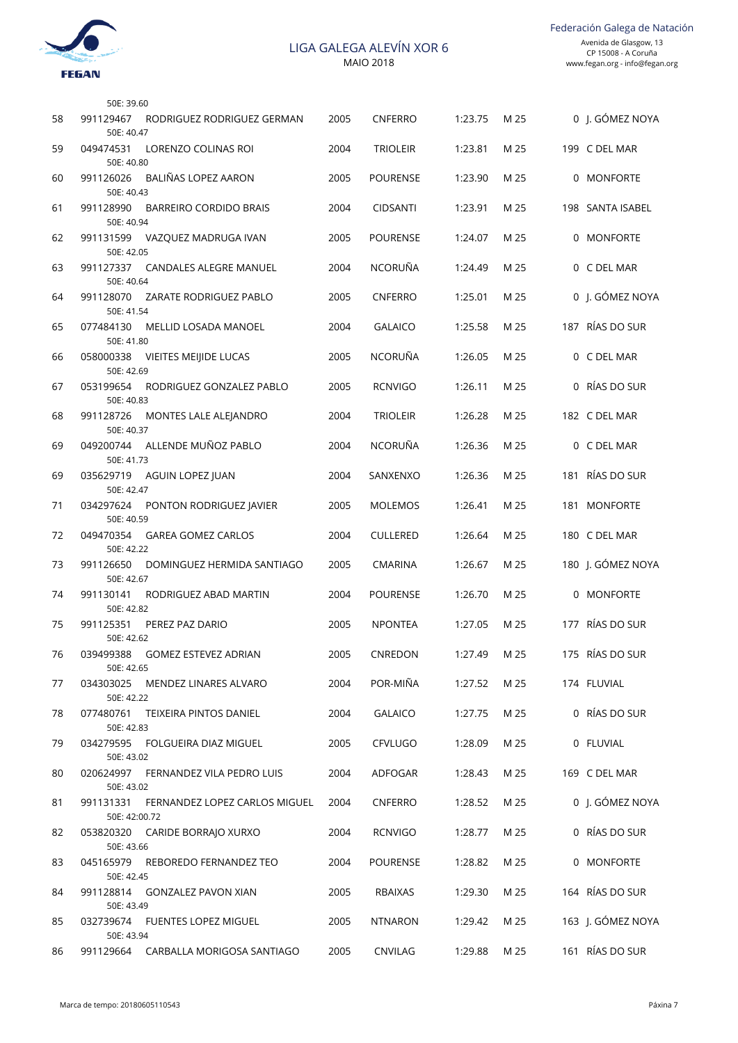

Federación Galega de Natación

|    | 50E: 39.60                 |                                      |      |                 |         |      |                   |
|----|----------------------------|--------------------------------------|------|-----------------|---------|------|-------------------|
| 58 | 991129467<br>50E: 40.47    | RODRIGUEZ RODRIGUEZ GERMAN           | 2005 | <b>CNFERRO</b>  | 1:23.75 | M 25 | 0 J. GÓMEZ NOYA   |
| 59 | 049474531<br>50E: 40.80    | LORENZO COLINAS ROI                  | 2004 | <b>TRIOLEIR</b> | 1:23.81 | M 25 | 199 C DEL MAR     |
| 60 | 991126026<br>50E: 40.43    | BALIÑAS LOPEZ AARON                  | 2005 | <b>POURENSE</b> | 1:23.90 | M 25 | 0 MONFORTE        |
| 61 | 991128990<br>50E: 40.94    | <b>BARREIRO CORDIDO BRAIS</b>        | 2004 | <b>CIDSANTI</b> | 1:23.91 | M 25 | 198 SANTA ISABEL  |
| 62 | 991131599<br>50E: 42.05    | VAZQUEZ MADRUGA IVAN                 | 2005 | <b>POURENSE</b> | 1:24.07 | M 25 | 0 MONFORTE        |
| 63 | 50E: 40.64                 | 991127337 CANDALES ALEGRE MANUEL     | 2004 | <b>NCORUÑA</b>  | 1:24.49 | M 25 | 0 C DEL MAR       |
| 64 | 991128070<br>50E: 41.54    | ZARATE RODRIGUEZ PABLO               | 2005 | <b>CNFERRO</b>  | 1:25.01 | M 25 | 0 J. GÓMEZ NOYA   |
| 65 | 077484130<br>50E: 41.80    | <b>MELLID LOSADA MANOEL</b>          | 2004 | <b>GALAICO</b>  | 1:25.58 | M 25 | 187 RÍAS DO SUR   |
| 66 | 058000338<br>50E: 42.69    | VIEITES MEIJIDE LUCAS                | 2005 | <b>NCORUÑA</b>  | 1:26.05 | M 25 | 0 C DEL MAR       |
| 67 | 053199654<br>50E: 40.83    | RODRIGUEZ GONZALEZ PABLO             | 2005 | <b>RCNVIGO</b>  | 1:26.11 | M 25 | 0 RÍAS DO SUR     |
| 68 | 991128726<br>50E: 40.37    | MONTES LALE ALEJANDRO                | 2004 | <b>TRIOLEIR</b> | 1:26.28 | M 25 | 182 C DEL MAR     |
| 69 | 049200744<br>50E: 41.73    | ALLENDE MUÑOZ PABLO                  | 2004 | <b>NCORUÑA</b>  | 1:26.36 | M 25 | 0 C DEL MAR       |
| 69 | 035629719<br>50E: 42.47    | AGUIN LOPEZ JUAN                     | 2004 | SANXENXO        | 1:26.36 | M 25 | 181 RÍAS DO SUR   |
| 71 | 034297624<br>50E: 40.59    | PONTON RODRIGUEZ JAVIER              | 2005 | <b>MOLEMOS</b>  | 1:26.41 | M 25 | 181 MONFORTE      |
| 72 | 049470354<br>50E: 42.22    | GAREA GOMEZ CARLOS                   | 2004 | <b>CULLERED</b> | 1:26.64 | M 25 | 180 C DEL MAR     |
| 73 | 991126650<br>50E: 42.67    | DOMINGUEZ HERMIDA SANTIAGO           | 2005 | <b>CMARINA</b>  | 1:26.67 | M 25 | 180 J. GÓMEZ NOYA |
| 74 | 991130141<br>50E: 42.82    | RODRIGUEZ ABAD MARTIN                | 2004 | <b>POURENSE</b> | 1:26.70 | M 25 | 0 MONFORTE        |
| 75 | 991125351<br>50E: 42.62    | PEREZ PAZ DARIO                      | 2005 | <b>NPONTEA</b>  | 1:27.05 | M 25 | 177 RÍAS DO SUR   |
| 76 | 039499388<br>50E: 42.65    | <b>GOMEZ ESTEVEZ ADRIAN</b>          | 2005 | CNREDON         | 1:27.49 | M 25 | 175 RÍAS DO SUR   |
| 77 | 034303025<br>50E: 42.22    | MENDEZ LINARES ALVARO                | 2004 | POR-MIÑA        | 1:27.52 | M 25 | 174 FLUVIAL       |
| 78 | 077480761<br>50E: 42.83    | TEIXEIRA PINTOS DANIEL               | 2004 | <b>GALAICO</b>  | 1:27.75 | M 25 | 0 RÍAS DO SUR     |
| 79 | 50E: 43.02                 | 034279595 FOLGUEIRA DIAZ MIGUEL      | 2005 | <b>CFVLUGO</b>  | 1:28.09 | M 25 | 0 FLUVIAL         |
| 80 | 50E: 43.02                 | 020624997 FERNANDEZ VILA PEDRO LUIS  | 2004 | ADFOGAR         | 1:28.43 | M 25 | 169 C DEL MAR     |
| 81 | 991131331<br>50E: 42:00.72 | FERNANDEZ LOPEZ CARLOS MIGUEL        | 2004 | <b>CNFERRO</b>  | 1:28.52 | M 25 | 0 J. GÓMEZ NOYA   |
| 82 | 50E: 43.66                 | 053820320 CARIDE BORRAJO XURXO       | 2004 | <b>RCNVIGO</b>  | 1:28.77 | M 25 | 0 RÍAS DO SUR     |
| 83 | 045165979<br>50E: 42.45    | REBOREDO FERNANDEZ TEO               | 2004 | <b>POURENSE</b> | 1:28.82 | M 25 | 0 MONFORTE        |
| 84 | 50E: 43.49                 | 991128814 GONZALEZ PAVON XIAN        | 2005 | RBAIXAS         | 1:29.30 | M 25 | 164 RÍAS DO SUR   |
| 85 | 032739674<br>50E: 43.94    | FUENTES LOPEZ MIGUEL                 | 2005 | <b>NTNARON</b>  | 1:29.42 | M 25 | 163 J. GÓMEZ NOYA |
| 86 |                            | 991129664 CARBALLA MORIGOSA SANTIAGO | 2005 | CNVILAG         | 1:29.88 | M 25 | 161 RÍAS DO SUR   |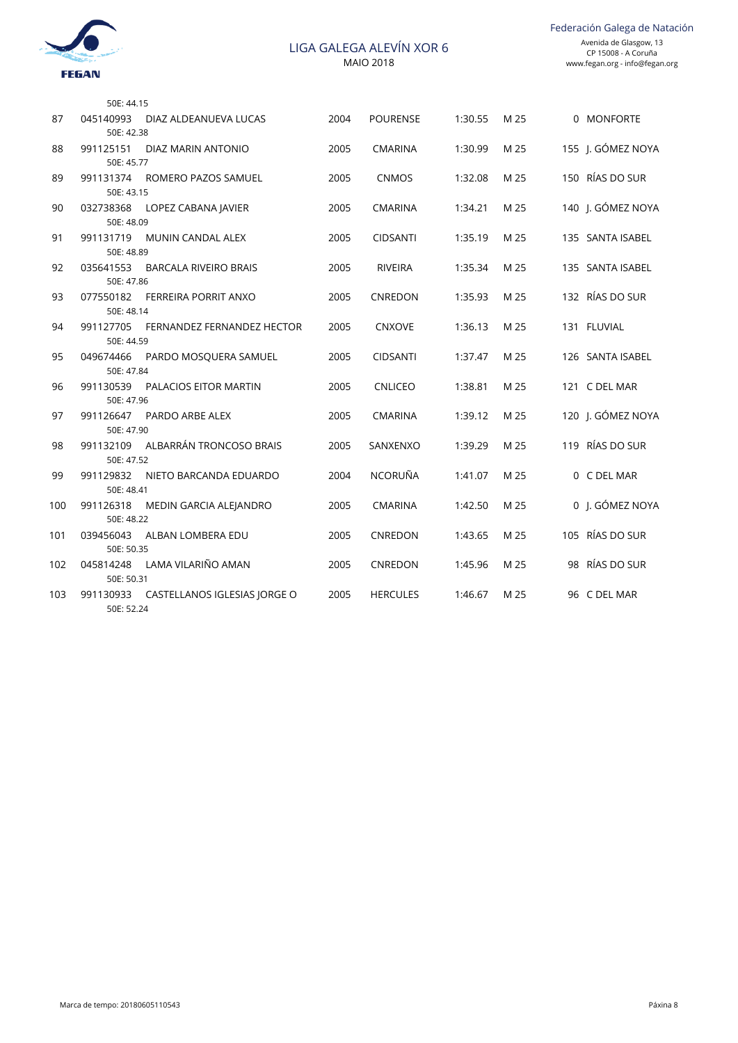

|     | 50E: 44.15              |                                        |      |                 |         |      |                   |
|-----|-------------------------|----------------------------------------|------|-----------------|---------|------|-------------------|
| 87  | 045140993               | DIAZ ALDEANUEVA LUCAS                  | 2004 | <b>POURENSE</b> | 1:30.55 | M 25 | 0 MONFORTE        |
| 88  | 50E: 42.38<br>991125151 | DIAZ MARIN ANTONIO                     | 2005 | <b>CMARINA</b>  | 1:30.99 | M 25 | 155 J. GÓMEZ NOYA |
|     | 50E: 45.77              |                                        |      |                 |         |      |                   |
| 89  | 991131374<br>50E: 43.15 | ROMERO PAZOS SAMUEL                    | 2005 | <b>CNMOS</b>    | 1:32.08 | M 25 | 150 RÍAS DO SUR   |
| 90  | 032738368<br>50E: 48.09 | LOPEZ CABANA JAVIER                    | 2005 | <b>CMARINA</b>  | 1:34.21 | M 25 | 140 J. GÓMEZ NOYA |
| 91  |                         | 991131719 MUNIN CANDAL ALEX            | 2005 | <b>CIDSANTI</b> | 1:35.19 | M 25 | 135 SANTA ISABEL  |
|     | 50E: 48.89              |                                        |      |                 |         |      |                   |
| 92  | 035641553<br>50E: 47.86 | BARCALA RIVEIRO BRAIS                  | 2005 | <b>RIVEIRA</b>  | 1:35.34 | M 25 | 135 SANTA ISABEL  |
| 93  | 077550182               | <b>FERREIRA PORRIT ANXO</b>            | 2005 | CNREDON         | 1:35.93 | M 25 | 132 RÍAS DO SUR   |
|     | 50E: 48.14              |                                        |      |                 |         |      |                   |
| 94  | 991127705<br>50E: 44.59 | FERNANDEZ FERNANDEZ HECTOR             | 2005 | <b>CNXOVE</b>   | 1:36.13 | M 25 | 131 FLUVIAL       |
| 95  | 049674466               | PARDO MOSQUERA SAMUEL                  | 2005 | <b>CIDSANTI</b> | 1:37.47 | M 25 | 126 SANTA ISABEL  |
|     | 50E: 47.84              |                                        |      |                 |         |      |                   |
| 96  | 991130539               | PALACIOS EITOR MARTIN                  | 2005 | <b>CNLICEO</b>  | 1:38.81 | M 25 | 121 C DEL MAR     |
|     | 50E: 47.96              |                                        |      |                 |         |      |                   |
| 97  |                         | 991126647 PARDO ARBE ALEX              | 2005 | <b>CMARINA</b>  | 1:39.12 | M 25 | 120 J. GÓMEZ NOYA |
|     | 50E: 47.90              |                                        |      |                 |         |      |                   |
| 98  | 50E: 47.52              | 991132109 ALBARRÁN TRONCOSO BRAIS      | 2005 | SANXENXO        | 1:39.29 | M 25 | 119 RÍAS DO SUR   |
| 99  | 991129832               | NIETO BARCANDA EDUARDO                 | 2004 | NCORUÑA         | 1:41.07 | M 25 | 0 C DEL MAR       |
|     | 50E: 48.41              |                                        |      |                 |         |      |                   |
| 100 | 991126318               | MEDIN GARCIA ALEJANDRO                 | 2005 | <b>CMARINA</b>  | 1:42.50 | M 25 | 0 J. GÓMEZ NOYA   |
|     | 50E: 48.22              |                                        |      |                 |         |      |                   |
| 101 | 039456043<br>50E: 50.35 | ALBAN LOMBERA EDU                      | 2005 | CNREDON         | 1:43.65 | M 25 | 105 RÍAS DO SUR   |
| 102 |                         | 045814248 LAMA VILARIÑO AMAN           | 2005 | CNREDON         | 1:45.96 | M 25 | 98 RÍAS DO SUR    |
|     | 50E: 50.31              |                                        |      |                 |         |      |                   |
| 103 | 50E: 52.24              | 991130933 CASTELLANOS IGLESIAS JORGE O | 2005 | <b>HERCULES</b> | 1:46.67 | M 25 | 96 C DEL MAR      |
|     |                         |                                        |      |                 |         |      |                   |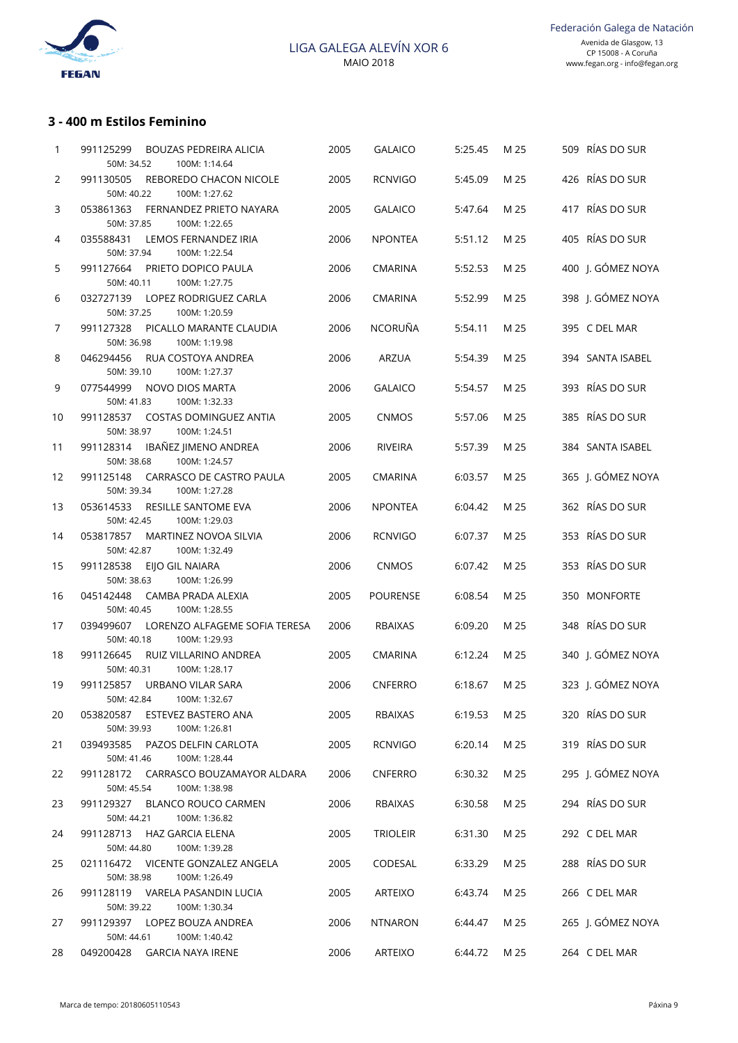

## **3 - 400 m Estilos Feminino**

| 1  | 991125299<br><b>BOUZAS PEDREIRA ALICIA</b><br>50M: 34.52<br>100M: 1:14.64 | 2005 | <b>GALAICO</b>  | 5:25.45 | M 25 | 509 RÍAS DO SUR   |
|----|---------------------------------------------------------------------------|------|-----------------|---------|------|-------------------|
| 2  | 991130505<br>REBOREDO CHACON NICOLE<br>50M: 40.22<br>100M: 1:27.62        | 2005 | <b>RCNVIGO</b>  | 5:45.09 | M 25 | 426 RÍAS DO SUR   |
| 3  | FERNANDEZ PRIETO NAYARA<br>053861363<br>50M: 37.85<br>100M: 1:22.65       | 2005 | <b>GALAICO</b>  | 5:47.64 | M 25 | 417 RÍAS DO SUR   |
| 4  | 035588431<br>LEMOS FERNANDEZ IRIA<br>50M: 37.94<br>100M: 1:22.54          | 2006 | <b>NPONTEA</b>  | 5:51.12 | M 25 | 405 RÍAS DO SUR   |
| 5  | 991127664<br>PRIETO DOPICO PAULA<br>50M: 40.11<br>100M: 1:27.75           | 2006 | <b>CMARINA</b>  | 5:52.53 | M 25 | 400 J. GÓMEZ NOYA |
| 6  | 032727139<br>LOPEZ RODRIGUEZ CARLA<br>50M: 37.25<br>100M: 1:20.59         | 2006 | <b>CMARINA</b>  | 5:52.99 | M 25 | 398 J. GÓMEZ NOYA |
| 7  | 991127328<br>PICALLO MARANTE CLAUDIA<br>50M: 36.98<br>100M: 1:19.98       | 2006 | <b>NCORUÑA</b>  | 5:54.11 | M 25 | 395 C DEL MAR     |
| 8  | 046294456<br>RUA COSTOYA ANDREA<br>50M: 39.10<br>100M: 1:27.37            | 2006 | ARZUA           | 5:54.39 | M 25 | 394 SANTA ISABEL  |
| 9  | 077544999<br>NOVO DIOS MARTA<br>50M: 41.83<br>100M: 1:32.33               | 2006 | <b>GALAICO</b>  | 5:54.57 | M 25 | 393 RÍAS DO SUR   |
| 10 | 991128537<br>COSTAS DOMINGUEZ ANTIA<br>50M: 38.97<br>100M: 1:24.51        | 2005 | <b>CNMOS</b>    | 5:57.06 | M 25 | 385 RÍAS DO SUR   |
| 11 | 991128314<br>IBAÑEZ JIMENO ANDREA<br>50M: 38.68<br>100M: 1:24.57          | 2006 | <b>RIVEIRA</b>  | 5:57.39 | M 25 | 384 SANTA ISABEL  |
| 12 | CARRASCO DE CASTRO PAULA<br>991125148<br>50M: 39.34<br>100M: 1:27.28      | 2005 | <b>CMARINA</b>  | 6:03.57 | M 25 | 365 J. GÓMEZ NOYA |
| 13 | 053614533<br>RESILLE SANTOME EVA<br>50M: 42.45<br>100M: 1:29.03           | 2006 | <b>NPONTEA</b>  | 6:04.42 | M 25 | 362 RÍAS DO SUR   |
| 14 | 053817857<br>MARTINEZ NOVOA SILVIA<br>50M: 42.87<br>100M: 1:32.49         | 2006 | <b>RCNVIGO</b>  | 6:07.37 | M 25 | 353 RÍAS DO SUR   |
| 15 | 991128538<br>EIJO GIL NAIARA<br>50M: 38.63<br>100M: 1:26.99               | 2006 | <b>CNMOS</b>    | 6:07.42 | M 25 | 353 RÍAS DO SUR   |
| 16 | 045142448<br>CAMBA PRADA ALEXIA<br>50M: 40.45<br>100M: 1:28.55            | 2005 | <b>POURENSE</b> | 6:08.54 | M 25 | 350 MONFORTE      |
| 17 | 039499607<br>LORENZO ALFAGEME SOFIA TERESA<br>50M: 40.18<br>100M: 1:29.93 | 2006 | <b>RBAIXAS</b>  | 6:09.20 | M 25 | 348 RÍAS DO SUR   |
| 18 | 991126645<br>RUIZ VILLARINO ANDREA<br>50M: 40.31<br>100M: 1:28.17         | 2005 | <b>CMARINA</b>  | 6:12.24 | M 25 | 340 J. GÓMEZ NOYA |
| 19 | 991125857<br><b>URBANO VILAR SARA</b><br>50M: 42.84<br>100M: 1:32.67      | 2006 | <b>CNFERRO</b>  | 6:18.67 | M 25 | 323 J. GÓMEZ NOYA |
| 20 | ESTEVEZ BASTERO ANA<br>053820587<br>50M: 39.93<br>100M: 1:26.81           | 2005 | RBAIXAS         | 6:19.53 | M 25 | 320 RÍAS DO SUR   |
| 21 | 039493585<br>PAZOS DELFIN CARLOTA<br>50M: 41.46<br>100M: 1:28.44          | 2005 | <b>RCNVIGO</b>  | 6:20.14 | M 25 | 319 RÍAS DO SUR   |
| 22 | 991128172<br>CARRASCO BOUZAMAYOR ALDARA<br>50M: 45.54<br>100M: 1:38.98    | 2006 | <b>CNFERRO</b>  | 6:30.32 | M 25 | 295 J. GÓMEZ NOYA |
| 23 | 991129327<br><b>BLANCO ROUCO CARMEN</b><br>50M: 44.21<br>100M: 1:36.82    | 2006 | RBAIXAS         | 6:30.58 | M 25 | 294 RÍAS DO SUR   |
| 24 | 991128713<br><b>HAZ GARCIA ELENA</b><br>50M: 44.80<br>100M: 1:39.28       | 2005 | <b>TRIOLEIR</b> | 6:31.30 | M 25 | 292 C DEL MAR     |
| 25 | 021116472<br>VICENTE GONZALEZ ANGELA<br>50M: 38.98<br>100M: 1:26.49       | 2005 | CODESAL         | 6:33.29 | M 25 | 288 RÍAS DO SUR   |
| 26 | 991128119 VARELA PASANDIN LUCIA<br>50M: 39.22<br>100M: 1:30.34            | 2005 | ARTEIXO         | 6:43.74 | M 25 | 266 C DEL MAR     |
| 27 | 991129397<br>LOPEZ BOUZA ANDREA<br>50M: 44.61<br>100M: 1:40.42            | 2006 | <b>NTNARON</b>  | 6:44.47 | M 25 | 265 J. GÓMEZ NOYA |
| 28 | 049200428 GARCIA NAYA IRENE                                               | 2006 | ARTEIXO         | 6:44.72 | M 25 | 264 C DEL MAR     |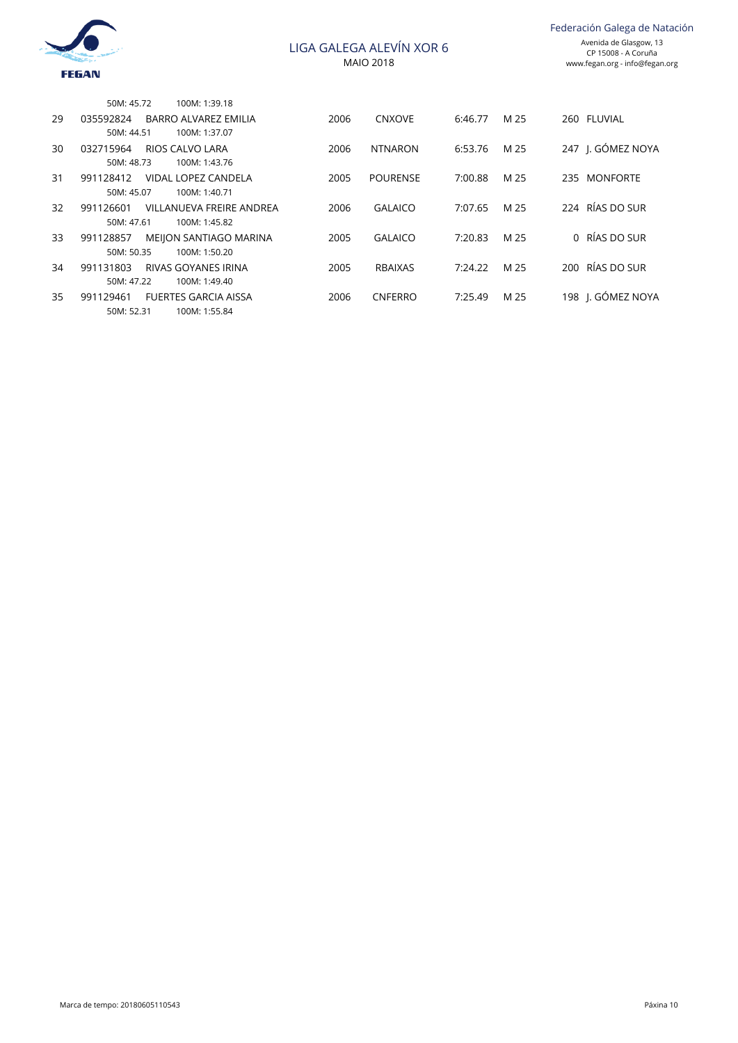

|    | 50M: 45.72 | 100M: 1:39.18               |      |                 |         |      |                   |
|----|------------|-----------------------------|------|-----------------|---------|------|-------------------|
| 29 | 035592824  | <b>BARRO ALVAREZ EMILIA</b> | 2006 | <b>CNXOVE</b>   | 6:46.77 | M 25 | 260 FLUVIAL       |
|    | 50M: 44.51 | 100M: 1:37.07               |      |                 |         |      |                   |
| 30 | 032715964  | RIOS CALVO LARA             | 2006 | <b>NTNARON</b>  | 6:53.76 | M 25 | 247 I. GÓMEZ NOYA |
|    | 50M: 48.73 | 100M: 1:43.76               |      |                 |         |      |                   |
| 31 | 991128412  | VIDAL LOPEZ CANDELA         | 2005 | <b>POURENSE</b> | 7:00.88 | M 25 | 235 MONFORTE      |
|    | 50M: 45.07 | 100M: 1:40.71               |      |                 |         |      |                   |
| 32 | 991126601  | VILLANUEVA FREIRE ANDREA    | 2006 | <b>GALAICO</b>  | 7:07.65 | M 25 | 224 RÍAS DO SUR   |
|    | 50M: 47.61 | 100M: 1:45.82               |      |                 |         |      |                   |
| 33 | 991128857  | MEIJON SANTIAGO MARINA      | 2005 | <b>GALAICO</b>  | 7:20.83 | M 25 | 0 RÍAS DO SUR     |
|    | 50M: 50.35 | 100M: 1:50.20               |      |                 |         |      |                   |
| 34 | 991131803  | <b>RIVAS GOYANES IRINA</b>  | 2005 | <b>RBAIXAS</b>  | 7:24.22 | M 25 | 200 RÍAS DO SUR   |
|    | 50M: 47.22 | 100M: 1:49.40               |      |                 |         |      |                   |
| 35 | 991129461  | <b>FUERTES GARCIA AISSA</b> | 2006 | <b>CNFERRO</b>  | 7:25.49 | M 25 | 198 I. GÓMEZ NOYA |
|    | 50M: 52.31 | 100M: 1:55.84               |      |                 |         |      |                   |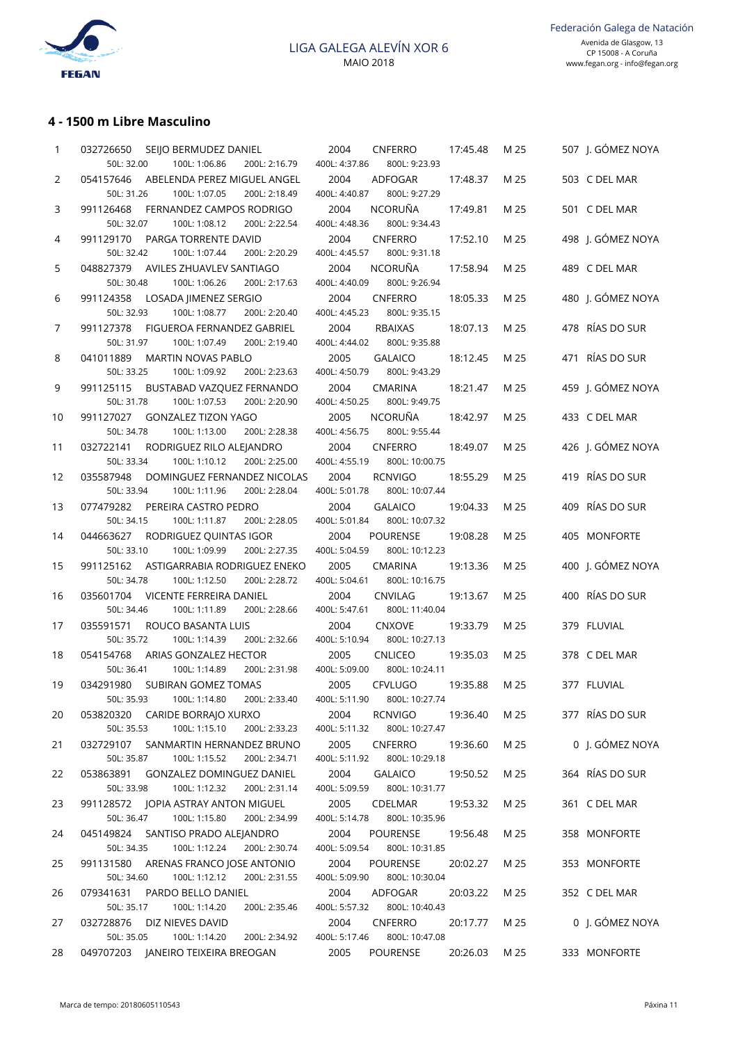

### **4 - 1500 m Libre Masculino**

| 1  | 032726650<br>SEIJO BERMUDEZ DANIEL<br>50L: 32.00<br>100L: 1:06.86<br>200L: 2:16.79 | 2004<br><b>CNFERRO</b><br>400L: 4:37.86<br>800L: 9:23.93 | 17:45.48 | M 25 | 507 I. GÓMEZ NOYA |
|----|------------------------------------------------------------------------------------|----------------------------------------------------------|----------|------|-------------------|
| 2  | 054157646<br>ABELENDA PEREZ MIGUEL ANGEL                                           | 2004<br>ADFOGAR                                          | 17:48.37 | M 25 | 503 C DEL MAR     |
|    | 50L: 31.26<br>100L: 1:07.05<br>200L: 2:18.49                                       | 800L: 9:27.29<br>400L: 4:40.87                           |          |      |                   |
| 3  | 991126468<br>FERNANDEZ CAMPOS RODRIGO                                              | <b>NCORUÑA</b><br>2004                                   | 17:49.81 | M 25 | 501 C DEL MAR     |
|    | 50L: 32.07<br>100L: 1:08.12<br>200L: 2:22.54                                       | 400L: 4:48.36<br>800L: 9:34.43                           |          |      |                   |
| 4  | 991129170<br>PARGA TORRENTE DAVID                                                  | 2004<br><b>CNFERRO</b>                                   | 17:52.10 | M 25 | 498 J. GÓMEZ NOYA |
|    | 50L: 32.42<br>100L: 1:07.44<br>200L: 2:20.29                                       | 400L: 4:45.57<br>800L: 9:31.18                           |          |      |                   |
| 5  | AVILES ZHUAVLEV SANTIAGO<br>048827379                                              | <b>NCORUÑA</b><br>2004                                   | 17:58.94 | M 25 | 489 C DEL MAR     |
|    | 50L: 30.48<br>100L: 1:06.26<br>200L: 2:17.63                                       | 400L: 4:40.09<br>800L: 9:26.94                           |          |      |                   |
| 6  | 991124358<br>LOSADA JIMENEZ SERGIO                                                 | 2004<br><b>CNFERRO</b>                                   | 18:05.33 | M 25 | 480 J. GÓMEZ NOYA |
|    | 50L: 32.93<br>100L: 1:08.77<br>200L: 2:20.40                                       | 400L: 4:45.23<br>800L: 9:35.15                           |          |      |                   |
| 7  | 991127378<br>FIGUEROA FERNANDEZ GABRIEL                                            | 2004<br><b>RBAIXAS</b>                                   | 18:07.13 | M 25 | 478 RÍAS DO SUR   |
|    | 50L: 31.97<br>100L: 1:07.49<br>200L: 2:19.40                                       | 400L: 4:44.02<br>800L: 9:35.88                           |          |      |                   |
| 8  | <b>MARTIN NOVAS PABLO</b><br>041011889                                             | 2005<br><b>GALAICO</b>                                   | 18:12.45 | M 25 | 471 RÍAS DO SUR   |
|    | 50L: 33.25<br>100L: 1:09.92<br>200L: 2:23.63                                       | 400L: 4:50.79<br>800L: 9:43.29                           |          |      |                   |
| 9  | 991125115<br>BUSTABAD VAZQUEZ FERNANDO                                             | 2004<br><b>CMARINA</b>                                   | 18:21.47 | M 25 | 459 J. GÓMEZ NOYA |
|    | 50L: 31.78<br>100L: 1:07.53<br>200L: 2:20.90                                       | 400L: 4:50.25<br>800L: 9:49.75                           |          |      |                   |
| 10 | 991127027<br><b>GONZALEZ TIZON YAGO</b>                                            | <b>NCORUÑA</b><br>2005                                   | 18:42.97 | M 25 | 433 C DEL MAR     |
|    | 50L: 34.78<br>100L: 1:13.00<br>200L: 2:28.38                                       | 400L: 4:56.75<br>800L: 9:55.44                           |          |      |                   |
| 11 | 032722141<br>RODRIGUEZ RILO ALEJANDRO                                              | <b>CNFERRO</b><br>2004                                   | 18:49.07 | M 25 | 426 J. GÓMEZ NOYA |
|    | 50L: 33.34<br>100L: 1:10.12<br>200L: 2:25.00                                       | 400L: 4:55.19<br>800L: 10:00.75                          |          |      |                   |
| 12 | 035587948<br>DOMINGUEZ FERNANDEZ NICOLAS                                           | 2004<br><b>RCNVIGO</b>                                   | 18:55.29 | M 25 | 419 RÍAS DO SUR   |
|    | 50L: 33.94<br>100L: 1:11.96<br>200L: 2:28.04                                       | 400L: 5:01.78<br>800L: 10:07.44                          |          |      |                   |
| 13 | 077479282<br>PEREIRA CASTRO PEDRO                                                  | 2004<br><b>GALAICO</b>                                   | 19:04.33 | M 25 | 409 RÍAS DO SUR   |
|    | 50L: 34.15<br>100L: 1:11.87<br>200L: 2:28.05                                       | 400L: 5:01.84<br>800L: 10:07.32                          |          |      |                   |
| 14 | RODRIGUEZ QUINTAS IGOR<br>044663627                                                | 2004<br><b>POURENSE</b>                                  | 19:08.28 | M 25 | 405 MONFORTE      |
|    | 50L: 33.10<br>100L: 1:09.99<br>200L: 2:27.35                                       | 400L: 5:04.59<br>800L: 10:12.23                          |          |      |                   |
| 15 | 991125162<br>ASTIGARRABIA RODRIGUEZ ENEKO                                          | 2005<br><b>CMARINA</b>                                   | 19:13.36 | M 25 | 400 J. GÓMEZ NOYA |
|    | 50L: 34.78<br>100L: 1:12.50<br>200L: 2:28.72                                       | 400L: 5:04.61<br>800L: 10:16.75                          |          |      |                   |
| 16 | VICENTE FERREIRA DANIEL<br>035601704                                               | CNVILAG<br>2004                                          | 19:13.67 | M 25 | 400 RÍAS DO SUR   |
|    | 50L: 34.46<br>100L: 1:11.89<br>200L: 2:28.66                                       | 400L: 5:47.61<br>800L: 11:40.04                          |          |      |                   |
| 17 | 035591571<br>ROUCO BASANTA LUIS                                                    | 2004<br><b>CNXOVE</b>                                    | 19:33.79 | M 25 | 379 FLUVIAL       |
|    | 50L: 35.72<br>100L: 1:14.39<br>200L: 2:32.66                                       | 400L: 5:10.94<br>800L: 10:27.13                          |          |      |                   |
| 18 | 054154768<br>ARIAS GONZALEZ HECTOR                                                 | 2005<br><b>CNLICEO</b>                                   | 19:35.03 | M 25 | 378 C DEL MAR     |
|    | 50L: 36.41<br>100L: 1:14.89<br>200L: 2:31.98                                       | 400L: 5:09.00<br>800L: 10:24.11                          |          |      |                   |
| 19 | 034291980<br>SUBIRAN GOMEZ TOMAS                                                   | 2005<br><b>CFVLUGO</b>                                   | 19:35.88 | M 25 | 377 FLUVIAL       |
|    | 50L: 35.93    100L: 1:14.80    200L: 2:33.40    400L: 5:11.90    800L: 10:27.74    |                                                          |          |      |                   |
| 20 | 053820320 CARIDE BORRAJO XURXO                                                     | <b>RCNVIGO</b><br>2004                                   | 19:36.40 | M 25 | 377 RÍAS DO SUR   |
|    | 50L: 35.53<br>100L: 1:15.10<br>200L: 2:33.23                                       | 400L: 5:11.32<br>800L: 10:27.47                          |          |      |                   |
| 21 | 032729107 SANMARTIN HERNANDEZ BRUNO                                                | 2005<br><b>CNFERRO</b>                                   | 19:36.60 | M 25 | 0 J. GÓMEZ NOYA   |
|    | 50L: 35.87<br>100L: 1:15.52<br>200L: 2:34.71                                       | 400L: 5:11.92<br>800L: 10:29.18                          |          |      |                   |
| 22 | 053863891<br>GONZALEZ DOMINGUEZ DANIEL                                             | 2004<br><b>GALAICO</b>                                   | 19:50.52 | M 25 | 364 RÍAS DO SUR   |
|    | 50L: 33.98<br>100L: 1:12.32<br>200L: 2:31.14                                       | 400L: 5:09.59<br>800L: 10:31.77                          |          |      |                   |
| 23 |                                                                                    | 2005<br>CDELMAR                                          | 19:53.32 | M 25 | 361 C DEL MAR     |
|    | 50L: 36.47<br>100L: 1:15.80<br>200L: 2:34.99                                       | 400L: 5:14.78<br>800L: 10:35.96                          |          |      |                   |
| 24 | 045149824 SANTISO PRADO ALEJANDRO                                                  | 2004<br><b>POURENSE</b>                                  | 19:56.48 | M 25 | 358 MONFORTE      |
|    | 50L: 34.35<br>100L: 1:12.24<br>200L: 2:30.74                                       | 400L: 5:09.54<br>800L: 10:31.85                          |          |      |                   |
| 25 | ARENAS FRANCO JOSE ANTONIO<br>991131580                                            | POURENSE<br>2004                                         | 20:02.27 | M 25 | 353 MONFORTE      |
|    | 50L: 34.60<br>100L: 1:12.12<br>200L: 2:31.55                                       | 400L: 5:09.90<br>800L: 10:30.04                          |          |      |                   |
| 26 | 079341631<br>PARDO BELLO DANIEL                                                    | 2004<br>ADFOGAR                                          | 20:03.22 | M 25 | 352 C DEL MAR     |
|    | 50L: 35.17<br>100L: 1:14.20<br>200L: 2:35.46                                       | 400L: 5:57.32<br>800L: 10:40.43                          |          |      |                   |
| 27 | 032728876<br>DIZ NIEVES DAVID                                                      | 2004<br><b>CNFERRO</b>                                   | 20:17.77 | M 25 | 0 J. GÓMEZ NOYA   |
|    | 50L: 35.05<br>100L: 1:14.20<br>200L: 2:34.92                                       | 400L: 5:17.46<br>800L: 10:47.08                          |          |      |                   |
| 28 | 049707203 JANEIRO TEIXEIRA BREOGAN                                                 | POURENSE<br>2005                                         | 20:26.03 | M 25 | 333 MONFORTE      |
|    |                                                                                    |                                                          |          |      |                   |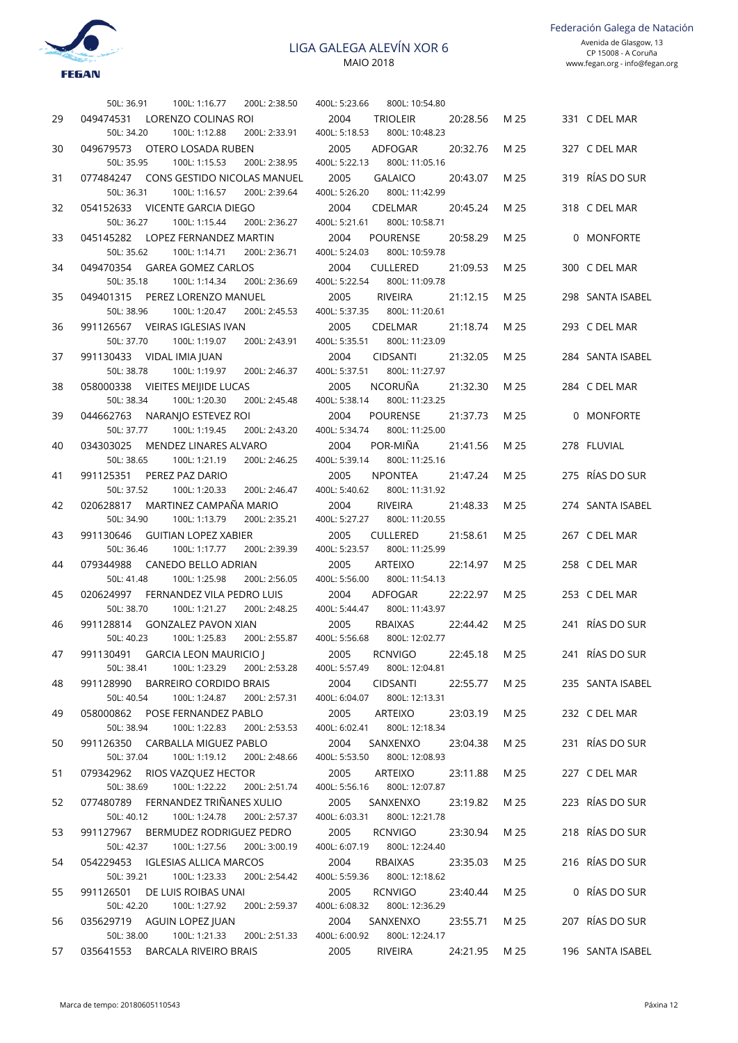

50L: 36.91 100L: 1:16.77 200L: 2:38.50 29 049474531 LORENZO COLINAS ROI 50L: 34.20 100L: 1:12.88 200L: 2:33.91 30 049679573 OTERO LOSADA RUBEN 50L: 35.95 100L: 1:15.53 200L: 2:38.95 31 077484247 CONS GESTIDO NICOLAS MANUEL  $501 \cdot 36.31$   $1001 \cdot 1.16.57$   $2001 \cdot 2.39.64$ 32 054152633 VICENTE GARCIA DIEGO 50L: 36.27 100L: 1:15.44 200L: 2:36.27 33 045145282 LOPEZ FERNANDEZ MARTIN 50L: 35.62 100L: 1:14.71 200L: 2:36.71 34 049470354 GAREA GOMEZ CARLOS 50L: 35.18 100L: 1:14.34 200L: 2:36.69 35 049401315 PEREZ LORENZO MANUEL 50L: 38.96 100L: 1:20.47 200L: 2:45.53 36 991126567 VEIRAS IGLESIAS IVAN 50L: 37.70 100L: 1:19.07 200L: 2:43.91 37 991130433 VIDAL IMIA JUAN 50L: 38.78 100L: 1:19.97 200L: 2:46.37 38 058000338 VIEITES MEIJIDE LUCAS 50L: 38.34 100L: 1:20.30 200L: 2:45.48 39 044662763 NARANJO ESTEVEZ ROI 50L: 37.77 100L: 1:19.45 200L: 2:43.20 40 034303025 MENDEZ LINARES ALVARO 50L: 38.65 100L: 1:21.19 200L: 2:46.25 41 991125351 PEREZ PAZ DARIO 50L: 37.52 100L: 1:20.33 200L: 2:46.47 42 020628817 MARTINEZ CAMPAÑA MARIO 50L: 34.90 100L: 1:13.79 200L: 2:35.21 43 991130646 GUITIAN LOPEZ XABIER 50L: 36.46 100L: 1:17.77 200L: 2:39.39 44 079344988 CANEDO BELLO ADRIAN 50L: 41.48 100L: 1:25.98 200L: 2:56.05 45 020624997 FERNANDEZ VILA PEDRO LUIS 50L: 38.70 100L: 1:21.27 200L: 2:48.25 400L: 5:44.47 800L: 11:43.97 46 991128814 GONZALEZ PAVON XIAN 50L: 40.23 100L: 1:25.83 200L: 2:55.87 47 991130491 GARCIA LEON MAURICIO | 50L: 38.41 100L: 1:23.29 200L: 2:53.28 400L: 5:57.49 800L: 12:04.81 48 991128990 BARREIRO CORDIDO BRAIS 50L: 40.54 100L: 1:24.87 200L: 2:57.31 49 058000862 POSE FERNANDEZ PABLO 50L: 38.94 100L: 1:22.83 200L: 2:53.53 400L: 6:02.41 800L: 12:18.34 50 991126350 CARBALLA MIGUEZ PABLO 50L: 37.04 100L: 1:19.12 200L: 2:48.66 51 079342962 RIOS VAZOUEZ HECTOR 50L: 38.69 100L: 1:22.22 200L: 2:51.74 400L: 5:56.16 800L: 12:07.87 52 077480789 FERNANDEZ TRIÑANES XULIO 50L: 40.12 100L: 1:24.78 200L: 2:57.37 53 991127967 BERMUDEZ RODRIGUEZ PEDRO 50L: 42.37 100L: 1:27.56 200L: 3:00.19 54 054229453 IGLESIAS ALLICA MARCOS 50L: 39.21 100L: 1:23.33 200L: 2:54.42 55 991126501 DE LUIS ROIBAS LINAI 50L: 42.20 100L: 1:27.92 200L: 2:59.37 56 035629719 AGUIN LOPEZ JUAN 50L: 38.00 100L: 1:21.33 200L: 2:51.33 57 035641553 BARCALA RIVEIRO BRAIS

| 400L: 5:23.66 800L: 10:54.80                                                 |      |                  |
|------------------------------------------------------------------------------|------|------------------|
| 2004 TRIOLEIR 20:28.56 M 25 331 C DEL MAR<br>400L: 5:18.53 800L: 10:48.23    |      |                  |
| 2005 ADFOGAR 20:32.76 M 25                                                   |      | 327 C DEL MAR    |
| 400L: 5:22.13 800L: 11:05.16<br>2005 GALAICO 20:43.07 M 25                   |      | 319 RÍAS DO SUR  |
| 400L: 5:26.20 800L: 11:42.99                                                 |      |                  |
| 2004 CDELMAR 20:45.24<br>400L: 5:21.61 800L: 10:58.71                        | M 25 | 318 C DEL MAR    |
| 2004 POURENSE 20:58.29                                                       | M 25 | 0 MONFORTE       |
| 400L: 5:24.03 800L: 10:59.78<br>2004 CULLERED 21:09.53                       | M 25 | 300 C DEL MAR    |
| 400L: 5:22.54 800L: 11:09.78<br>2005 RIVEIRA 21:12.15 M 25                   |      | 298 SANTA ISABEL |
| 400L: 5:37.35 800L: 11:20.61                                                 |      |                  |
| 2005 CDELMAR 21:18.74<br>400L: 5:35.51 800L: 11:23.09                        | M 25 | 293 C DEL MAR    |
| 2004 CIDSANTI 21:32.05                                                       | M 25 | 284 SANTA ISABEL |
| 400L: 5:37.51 800L: 11:27.97<br>2005 NCORUÑA 21:32.30                        |      |                  |
| 400L: 5:38.14 800L: 11:23.25                                                 | M 25 | 284 C DEL MAR    |
| 2004 POURENSE 21:37.73 M 25                                                  |      | 0 MONFORTE       |
| 400L: 5:34.74 800L: 11:25.00<br>2004 POR-MIÑA 21:41.56 M 25                  |      | 278 FLUVIAL      |
| 400L: 5:39.14 800L: 11:25.16                                                 |      |                  |
| 2005 NPONTEA 21:47.24 M 25 275 RÍAS DO SUR<br>400L: 5:40.62 800L: 11:31.92   |      |                  |
| 2004 RIVEIRA 21:48.33 M 25                                                   |      | 274 SANTA ISABEL |
| 400L: 5:27.27 800L: 11:20.55                                                 |      |                  |
| 2005 CULLERED 21:58.61<br>400L: 5:23.57 800L: 11:25.99                       | M 25 | 267 C DEL MAR    |
| 2005 ARTEIXO 22:14.97 M 25                                                   |      | 258 C DEL MAR    |
| 400L: 5:56.00 800L: 11:54.13<br>2004 ADFOGAR 22:22.97 M 25                   |      | 253 C DEL MAR    |
| 400L: 5:44.47 800L: 11:43.97                                                 |      |                  |
| 2005 RBAIXAS 22:44.42 M 25<br>400L: 5:56.68 800L: 12:02.77                   |      | 241 RÍAS DO SUR  |
| 2005 RCNVIGO 22:45.18 M 25 241 RÍAS DO SUR                                   |      |                  |
| 400L: 5:57.49 800L: 12:04.81                                                 |      |                  |
| 2004 CIDSANTI 22:55.77 M 25 235 SANTA ISABEL<br>400L: 6:04.07 800L: 12:13.31 |      |                  |
| 2005 ARTEIXO 23:03.19 M 25 232 C DEL MAR                                     |      |                  |
| 400L: 6:02.41 800L: 12:18.34                                                 |      |                  |
| 2004 SANXENXO 23:04.38 M 25 231 RÍAS DO SUR<br>400L: 5:53.50 800L: 12:08.93  |      |                  |
| 2005 ARTEIXO 23:11.88 M 25 227 C DEL MAR                                     |      |                  |
| 400L: 5:56.16 800L: 12:07.87                                                 |      |                  |
| 2005 SANXENXO 23:19.82 M 25 223 RÍAS DO SUR                                  |      |                  |
| 400L: 6:03.31 800L: 12:21.78                                                 |      |                  |
| 2005 RCNVIGO 23:30.94 M 25 218 RÍAS DO SUR<br>400L: 6:07.19 800L: 12:24.40   |      |                  |
| 2004 RBAIXAS 23:35.03 M 25 216 RÍAS DO SUR                                   |      |                  |
| 400L: 5:59.36 800L: 12:18.62                                                 |      |                  |
| 2005 RCNVIGO 23:40.44 M 25 0 RÍAS DO SUR                                     |      |                  |
| 400L: 6:08.32 800L: 12:36.29                                                 |      |                  |
| 2004 SANXENXO 23:55.71 M 25 207 RÍAS DO SUR                                  |      |                  |
| 400L: 6:00.92 800L: 12:24.17                                                 |      |                  |
| 2005 RIVEIRA 24:21.95 M 25 196 SANTA ISABEL                                  |      |                  |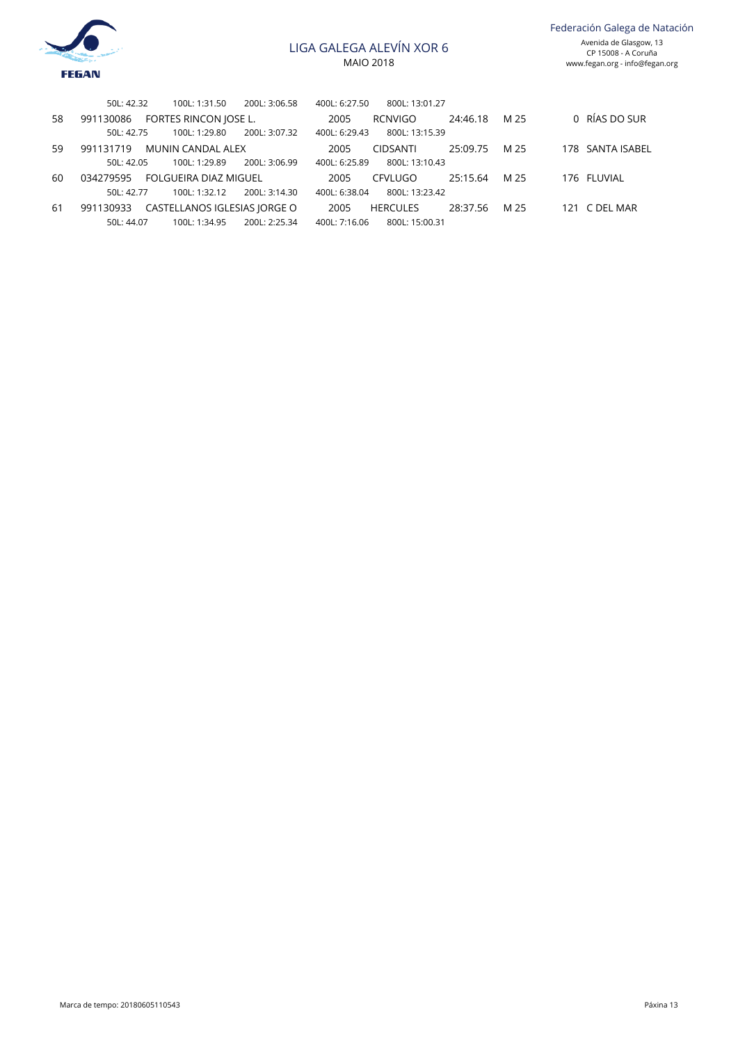

Federación Galega de Natación Avenida de Glasgow, 13

CP 15008 - A Coruña www.fegan.org - info@fegan.org

|    | 50L: 42.32<br>100L: 1:31.50               | 200L: 3:06.58 | 400L: 6:27.50 | 800L: 13:01.27  |          |      |                  |
|----|-------------------------------------------|---------------|---------------|-----------------|----------|------|------------------|
| 58 | FORTES RINCON JOSE L.<br>991130086        |               | 2005          | RCNVIGO         | 24:46.18 | M 25 | 0 RÍAS DO SUR    |
|    | 100L: 1:29.80<br>50L: 42.75               | 200L: 3:07.32 | 400L: 6:29.43 | 800L: 13:15.39  |          |      |                  |
| 59 | 991131719<br>MUNIN CANDAL ALEX            |               | 2005          | <b>CIDSANTI</b> | 25:09.75 | M 25 | 178 SANTA ISABEL |
|    | 100L: 1:29.89<br>50L: 42.05               | 200L: 3:06.99 | 400L: 6:25.89 | 800L: 13:10.43  |          |      |                  |
| 60 | FOLGUEIRA DIAZ MIGUEL<br>034279595        |               | 2005          | CFVLUGO         | 25:15.64 | M 25 | 176 FLUVIAL      |
|    | 100L: 1:32.12<br>501:42.77                | 200L: 3:14.30 | 400L: 6:38.04 | 800L: 13:23.42  |          |      |                  |
| 61 | CASTELLANOS IGLESIAS JORGE O<br>991130933 |               | 2005          | <b>HERCULES</b> | 28:37.56 | M 25 | 121 C DEL MAR    |
|    | 100L: 1:34.95<br>50L: 44.07               | 200L: 2:25.34 | 400L: 7:16.06 | 800L: 15:00.31  |          |      |                  |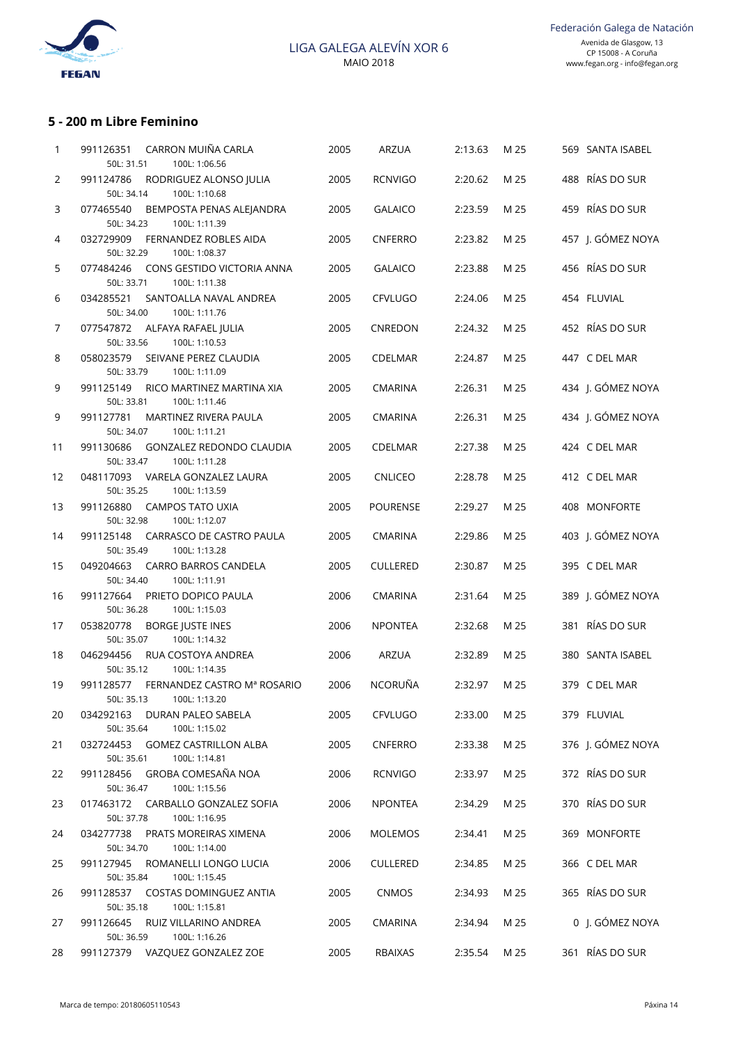

## **5 - 200 m Libre Feminino**

| 1              | 991126351<br>CARRON MUIÑA CARLA<br>100L: 1:06.56<br>50L: 31.51              | 2005 | <b>ARZUA</b>    | 2:13.63 | M 25 | 569 SANTA ISABEL  |
|----------------|-----------------------------------------------------------------------------|------|-----------------|---------|------|-------------------|
| $\overline{2}$ | 991124786<br>RODRIGUEZ ALONSO JULIA<br>50L: 34.14<br>100L: 1:10.68          | 2005 | <b>RCNVIGO</b>  | 2:20.62 | M 25 | 488 RÍAS DO SUR   |
| 3              | 077465540<br>BEMPOSTA PENAS ALEJANDRA<br>50L: 34.23<br>100L: 1:11.39        | 2005 | <b>GALAICO</b>  | 2:23.59 | M 25 | 459 RÍAS DO SUR   |
| 4              | 032729909<br>FERNANDEZ ROBLES AIDA<br>50L: 32.29<br>100L: 1:08.37           | 2005 | <b>CNFERRO</b>  | 2:23.82 | M 25 | 457 J. GÓMEZ NOYA |
| 5              | 077484246<br>CONS GESTIDO VICTORIA ANNA<br>50L: 33.71<br>100L: 1:11.38      | 2005 | <b>GALAICO</b>  | 2:23.88 | M 25 | 456 RÍAS DO SUR   |
| 6              | 034285521<br>SANTOALLA NAVAL ANDREA<br>50L: 34.00<br>100L: 1:11.76          | 2005 | CFVLUGO         | 2:24.06 | M 25 | 454 FLUVIAL       |
| 7              | ALFAYA RAFAEL JULIA<br>077547872<br>50L: 33.56<br>100L: 1:10.53             | 2005 | CNREDON         | 2:24.32 | M 25 | 452 RÍAS DO SUR   |
| 8              | 058023579<br>SEIVANE PEREZ CLAUDIA<br>50L: 33.79<br>100L: 1:11.09           | 2005 | <b>CDELMAR</b>  | 2:24.87 | M 25 | 447 C DEL MAR     |
| 9              | 991125149<br>RICO MARTINEZ MARTINA XIA<br>50L: 33.81<br>100L: 1:11.46       | 2005 | <b>CMARINA</b>  | 2:26.31 | M 25 | 434 J. GÓMEZ NOYA |
| 9              | 991127781<br>MARTINEZ RIVERA PAULA<br>50L: 34.07<br>100L: 1:11.21           | 2005 | <b>CMARINA</b>  | 2:26.31 | M 25 | 434 J. GÓMEZ NOYA |
| 11             | 991130686<br><b>GONZALEZ REDONDO CLAUDIA</b><br>50L: 33.47<br>100L: 1:11.28 | 2005 | CDELMAR         | 2:27.38 | M 25 | 424 C DEL MAR     |
| 12             | 048117093<br>VARELA GONZALEZ LAURA<br>50L: 35.25<br>100L: 1:13.59           | 2005 | <b>CNLICEO</b>  | 2:28.78 | M 25 | 412 C DEL MAR     |
| 13             | 991126880<br><b>CAMPOS TATO UXIA</b><br>50L: 32.98<br>100L: 1:12.07         | 2005 | <b>POURENSE</b> | 2:29.27 | M 25 | 408 MONFORTE      |
| 14             | 991125148<br><b>CARRASCO DE CASTRO PAULA</b><br>50L: 35.49<br>100L: 1:13.28 | 2005 | <b>CMARINA</b>  | 2:29.86 | M 25 | 403 J. GÓMEZ NOYA |
| 15             | 049204663<br>CARRO BARROS CANDELA<br>50L: 34.40<br>100L: 1:11.91            | 2005 | <b>CULLERED</b> | 2:30.87 | M 25 | 395 C DEL MAR     |
| 16             | 991127664<br>PRIETO DOPICO PAULA<br>50L: 36.28<br>100L: 1:15.03             | 2006 | <b>CMARINA</b>  | 2:31.64 | M 25 | 389 J. GÓMEZ NOYA |
| 17             | 053820778<br><b>BORGE JUSTE INES</b><br>100L: 1:14.32<br>50L: 35.07         | 2006 | <b>NPONTEA</b>  | 2:32.68 | M 25 | 381 RÍAS DO SUR   |
| 18             | 046294456<br>RUA COSTOYA ANDREA<br>100L: 1:14.35<br>50L: 35.12              | 2006 | ARZUA           | 2:32.89 | M 25 | 380 SANTA ISABEL  |
| 19             | 991128577 FERNANDEZ CASTRO Mª ROSARIO<br>50L: 35.13    100L: 1:13.20        | 2006 | NCORUÑA         | 2:32.97 | M 25 | 379 C DEL MAR     |
| 20             | 034292163<br>DURAN PALEO SABELA<br>50L: 35.64<br>100L: 1:15.02              | 2005 | CFVLUGO         | 2:33.00 | M 25 | 379 FLUVIAL       |
| 21             | 032724453 GOMEZ CASTRILLON ALBA<br>50L: 35.61<br>100L: 1:14.81              | 2005 | CNFERRO         | 2:33.38 | M 25 | 376 J. GÓMEZ NOYA |
| 22             | GROBA COMESAÑA NOA<br>991128456<br>100L: 1:15.56<br>50L: 36.47              | 2006 | <b>RCNVIGO</b>  | 2:33.97 | M 25 | 372 RÍAS DO SUR   |
| 23             | CARBALLO GONZALEZ SOFIA<br>017463172<br>50L: 37.78<br>100L: 1:16.95         | 2006 | <b>NPONTEA</b>  | 2:34.29 | M 25 | 370 RÍAS DO SUR   |
| 24             | PRATS MOREIRAS XIMENA<br>034277738<br>50L: 34.70<br>100L: 1:14.00           | 2006 | <b>MOLEMOS</b>  | 2:34.41 | M 25 | 369 MONFORTE      |
| 25             | ROMANELLI LONGO LUCIA<br>991127945<br>50L: 35.84<br>100L: 1:15.45           | 2006 | <b>CULLERED</b> | 2:34.85 | M 25 | 366 C DEL MAR     |
| 26             | <b>COSTAS DOMINGUEZ ANTIA</b><br>991128537<br>50L: 35.18<br>100L: 1:15.81   | 2005 | <b>CNMOS</b>    | 2:34.93 | M 25 | 365 RÍAS DO SUR   |
| 27             | RUIZ VILLARINO ANDREA<br>991126645<br>50L: 36.59<br>100L: 1:16.26           | 2005 | <b>CMARINA</b>  | 2:34.94 | M 25 | 0 J. GÓMEZ NOYA   |
| 28             | 991127379 VAZQUEZ GONZALEZ ZOE                                              | 2005 | RBAIXAS         | 2:35.54 | M 25 | 361 RÍAS DO SUR   |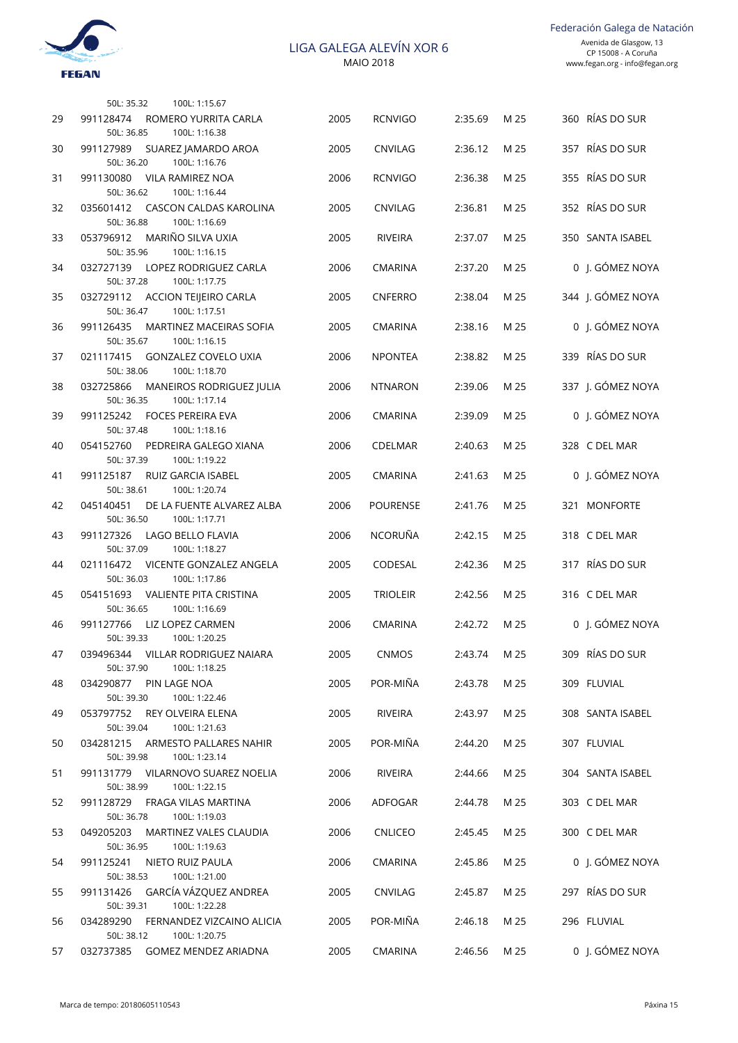

Federación Galega de Natación

|    | 50L: 35.32<br>100L: 1:15.67                                                |      |                 |              |      |                   |
|----|----------------------------------------------------------------------------|------|-----------------|--------------|------|-------------------|
| 29 | 991128474<br>ROMERO YURRITA CARLA<br>50L: 36.85<br>100L: 1:16.38           | 2005 | <b>RCNVIGO</b>  | 2:35.69      | M 25 | 360 RÍAS DO SUR   |
| 30 | 991127989<br>SUAREZ JAMARDO AROA<br>50L: 36.20<br>100L: 1:16.76            | 2005 | <b>CNVILAG</b>  | 2:36.12      | M 25 | 357 RÍAS DO SUR   |
| 31 | 991130080<br><b>VILA RAMIREZ NOA</b><br>100L: 1:16.44<br>50L: 36.62        | 2006 | <b>RCNVIGO</b>  | 2:36.38      | M 25 | 355 RÍAS DO SUR   |
| 32 | 035601412<br>CASCON CALDAS KAROLINA<br>50L: 36.88<br>100L: 1:16.69         | 2005 | CNVILAG         | 2:36.81      | M 25 | 352 RÍAS DO SUR   |
| 33 | MARIÑO SILVA UXIA<br>053796912<br>50L: 35.96<br>100L: 1:16.15              | 2005 | <b>RIVEIRA</b>  | 2:37.07      | M 25 | 350 SANTA ISABEL  |
| 34 | 032727139<br>LOPEZ RODRIGUEZ CARLA<br>50L: 37.28<br>100L: 1:17.75          | 2006 | <b>CMARINA</b>  | 2:37.20      | M 25 | 0 J. GÓMEZ NOYA   |
| 35 | 032729112<br>ACCION TEIJEIRO CARLA<br>50L: 36.47<br>100L: 1:17.51          | 2005 | <b>CNFERRO</b>  | 2:38.04      | M 25 | 344 J. GÓMEZ NOYA |
| 36 | 991126435<br><b>MARTINEZ MACEIRAS SOFIA</b><br>50L: 35.67<br>100L: 1:16.15 | 2005 | <b>CMARINA</b>  | 2:38.16      | M 25 | 0 J. GÓMEZ NOYA   |
| 37 | 021117415<br><b>GONZALEZ COVELO UXIA</b><br>100L: 1:18.70<br>50L: 38.06    | 2006 | <b>NPONTEA</b>  | 2:38.82      | M 25 | 339 RÍAS DO SUR   |
| 38 | 032725866<br>MANEIROS RODRIGUEZ JULIA<br>100L: 1:17.14<br>50L: 36.35       | 2006 | <b>NTNARON</b>  | 2:39.06      | M 25 | 337 J. GÓMEZ NOYA |
| 39 | 991125242<br><b>FOCES PEREIRA EVA</b><br>50L: 37.48<br>100L: 1:18.16       | 2006 | <b>CMARINA</b>  | 2:39.09      | M 25 | 0 J. GÓMEZ NOYA   |
| 40 | 054152760<br>PEDREIRA GALEGO XIANA<br>50L: 37.39<br>100L: 1:19.22          | 2006 | <b>CDELMAR</b>  | 2:40.63      | M 25 | 328 C DEL MAR     |
| 41 | 991125187<br>RUIZ GARCIA ISABEL<br>100L: 1:20.74<br>50L: 38.61             | 2005 | <b>CMARINA</b>  | 2:41.63      | M 25 | 0 J. GÓMEZ NOYA   |
| 42 | 045140451<br>DE LA FUENTE ALVAREZ ALBA<br>50L: 36.50<br>100L: 1:17.71      | 2006 | <b>POURENSE</b> | 2:41.76      | M 25 | 321 MONFORTE      |
| 43 | 991127326<br>LAGO BELLO FLAVIA<br>50L: 37.09<br>100L: 1:18.27              | 2006 | NCORUÑA         | 2:42.15      | M 25 | 318 C DEL MAR     |
| 44 | <b>VICENTE GONZALEZ ANGELA</b><br>021116472<br>50L: 36.03<br>100L: 1:17.86 | 2005 | CODESAL         | 2:42.36      | M 25 | 317 RÍAS DO SUR   |
| 45 | VALIENTE PITA CRISTINA<br>054151693<br>50L: 36.65<br>100L: 1:16.69         | 2005 | <b>TRIOLEIR</b> | 2:42.56      | M 25 | 316 C DEL MAR     |
| 46 | LIZ LOPEZ CARMEN<br>991127766<br>50L: 39.33<br>100L: 1:20.25               | 2006 | <b>CMARINA</b>  | 2:42.72      | M 25 | 0 J. GÓMEZ NOYA   |
| 47 | 039496344 VILLAR RODRIGUEZ NAIARA<br>50L: 37.90<br>100L: 1:18.25           | 2005 | CNMOS           | 2:43.74 M 25 |      | 309 RÍAS DO SUR   |
| 48 | 034290877 PIN LAGE NOA<br>50L: 39.30<br>100L: 1:22.46                      | 2005 | POR-MIÑA        | 2:43.78      | M 25 | 309 FLUVIAL       |
| 49 | 053797752<br>REY OLVEIRA ELENA<br>50L: 39.04<br>100L: 1:21.63              | 2005 | RIVEIRA         | 2:43.97      | M 25 | 308 SANTA ISABEL  |
| 50 | 034281215<br>ARMESTO PALLARES NAHIR<br>50L: 39.98<br>100L: 1:23.14         | 2005 | POR-MIÑA        | 2:44.20      | M 25 | 307 FLUVIAL       |
| 51 | 991131779 VILARNOVO SUAREZ NOELIA<br>50L: 38.99<br>100L: 1:22.15           | 2006 | RIVEIRA         | 2:44.66      | M 25 | 304 SANTA ISABEL  |
| 52 | 991128729<br>FRAGA VILAS MARTINA<br>50L: 36.78<br>100L: 1:19.03            | 2006 | ADFOGAR         | 2:44.78      | M 25 | 303 C DEL MAR     |
| 53 | 049205203<br>MARTINEZ VALES CLAUDIA<br>50L: 36.95<br>100L: 1:19.63         | 2006 | <b>CNLICEO</b>  | 2:45.45      | M 25 | 300 C DEL MAR     |
| 54 | 991125241<br>NIETO RUIZ PAULA<br>100L: 1:21.00<br>50L: 38.53               | 2006 | <b>CMARINA</b>  | 2:45.86      | M 25 | 0 J. GÓMEZ NOYA   |
| 55 | GARCÍA VÁZQUEZ ANDREA<br>991131426<br>100L: 1:22.28<br>50L: 39.31          | 2005 | CNVILAG         | 2:45.87      | M 25 | 297 RÍAS DO SUR   |
| 56 | 034289290<br>FERNANDEZ VIZCAINO ALICIA<br>50L: 38.12<br>100L: 1:20.75      | 2005 | POR-MIÑA        | 2:46.18      | M 25 | 296 FLUVIAL       |
| 57 | 032737385 GOMEZ MENDEZ ARIADNA                                             | 2005 | CMARINA         | 2:46.56      | M 25 | 0 J. GÓMEZ NOYA   |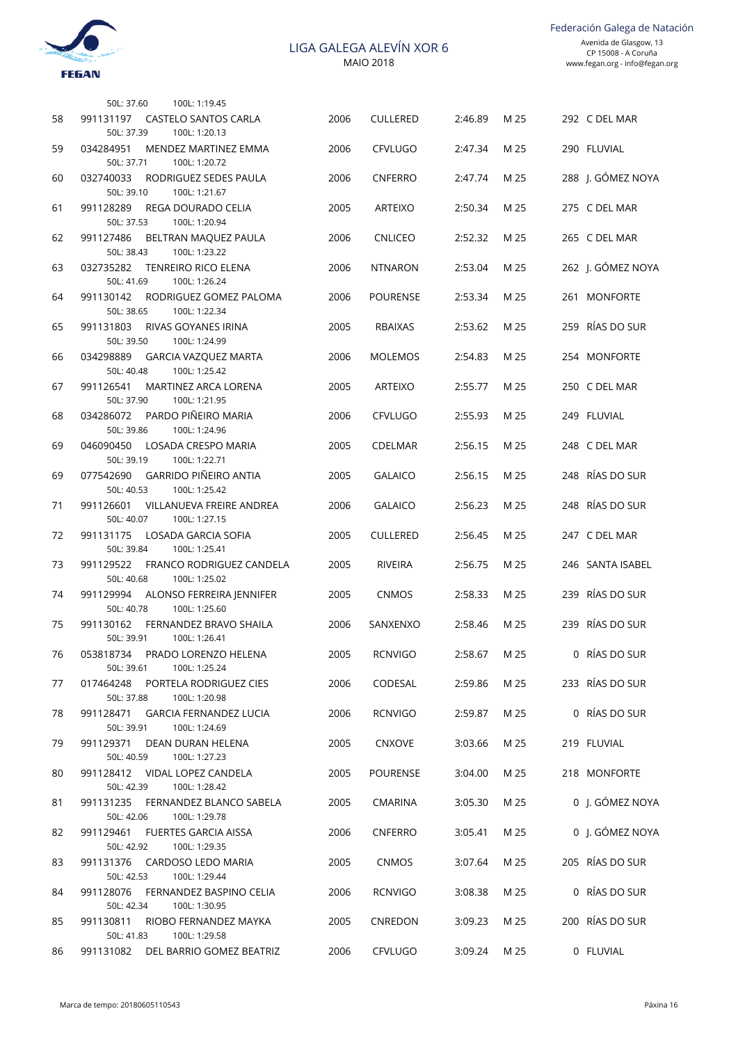

|    | 100L: 1:19.45<br>50L: 37.60                                               |      |                 |              |      |                   |
|----|---------------------------------------------------------------------------|------|-----------------|--------------|------|-------------------|
| 58 | 991131197<br><b>CASTELO SANTOS CARLA</b><br>50L: 37.39<br>100L: 1:20.13   | 2006 | <b>CULLERED</b> | 2:46.89      | M 25 | 292 C DEL MAR     |
| 59 | 034284951<br>MENDEZ MARTINEZ EMMA<br>50L: 37.71<br>100L: 1:20.72          | 2006 | <b>CFVLUGO</b>  | 2:47.34      | M 25 | 290 FLUVIAL       |
| 60 | 032740033<br>RODRIGUEZ SEDES PAULA<br>50L: 39.10<br>100L: 1:21.67         | 2006 | <b>CNFERRO</b>  | 2:47.74      | M 25 | 288 J. GÓMEZ NOYA |
| 61 | 991128289<br>REGA DOURADO CELIA<br>50L: 37.53<br>100L: 1:20.94            | 2005 | <b>ARTEIXO</b>  | 2:50.34      | M 25 | 275 C DEL MAR     |
| 62 | 991127486<br>BELTRAN MAQUEZ PAULA<br>50L: 38.43<br>100L: 1:23.22          | 2006 | <b>CNLICEO</b>  | 2:52.32      | M 25 | 265 C DEL MAR     |
| 63 | 032735282<br><b>TENREIRO RICO ELENA</b><br>50L: 41.69<br>100L: 1:26.24    | 2006 | <b>NTNARON</b>  | 2:53.04      | M 25 | 262 J. GÓMEZ NOYA |
| 64 | 991130142<br>RODRIGUEZ GOMEZ PALOMA<br>50L: 38.65<br>100L: 1:22.34        | 2006 | POURENSE        | 2:53.34      | M 25 | 261 MONFORTE      |
| 65 | 991131803<br>RIVAS GOYANES IRINA<br>50L: 39.50<br>100L: 1:24.99           | 2005 | <b>RBAIXAS</b>  | 2:53.62      | M 25 | 259 RÍAS DO SUR   |
| 66 | 034298889<br><b>GARCIA VAZOUEZ MARTA</b><br>50L: 40.48<br>100L: 1:25.42   | 2006 | <b>MOLEMOS</b>  | 2:54.83      | M 25 | 254 MONFORTE      |
| 67 | 991126541<br>MARTINEZ ARCA LORENA<br>100L: 1:21.95<br>50L: 37.90          | 2005 | <b>ARTEIXO</b>  | 2:55.77      | M 25 | 250 C DEL MAR     |
| 68 | PARDO PIÑEIRO MARIA<br>034286072<br>50L: 39.86<br>100L: 1:24.96           | 2006 | <b>CFVLUGO</b>  | 2:55.93      | M 25 | 249 FLUVIAL       |
| 69 | 046090450<br>LOSADA CRESPO MARIA<br>50L: 39.19<br>100L: 1:22.71           | 2005 | <b>CDELMAR</b>  | 2:56.15      | M 25 | 248 C DEL MAR     |
| 69 | <b>GARRIDO PIÑEIRO ANTIA</b><br>077542690<br>50L: 40.53<br>100L: 1:25.42  | 2005 | <b>GALAICO</b>  | 2:56.15      | M 25 | 248 RÍAS DO SUR   |
| 71 | 991126601<br>VILLANUEVA FREIRE ANDREA<br>50L: 40.07<br>100L: 1:27.15      | 2006 | <b>GALAICO</b>  | 2:56.23      | M 25 | 248 RÍAS DO SUR   |
| 72 | LOSADA GARCIA SOFIA<br>991131175<br>50L: 39.84<br>100L: 1:25.41           | 2005 | <b>CULLERED</b> | 2:56.45      | M 25 | 247 C DEL MAR     |
| 73 | 991129522<br>FRANCO RODRIGUEZ CANDELA<br>50L: 40.68<br>100L: 1:25.02      | 2005 | <b>RIVEIRA</b>  | 2:56.75      | M 25 | 246 SANTA ISABEL  |
| 74 | 991129994<br>ALONSO FERREIRA JENNIFER<br>50L: 40.78<br>100L: 1:25.60      | 2005 | <b>CNMOS</b>    | 2:58.33      | M 25 | 239 RÍAS DO SUR   |
| 75 | 991130162<br>FERNANDEZ BRAVO SHAILA<br>50L: 39.91<br>100L: 1:26.41        | 2006 | SANXENXO        | 2:58.46      | M 25 | 239 RÍAS DO SUR   |
| 76 | 053818734 PRADO LORENZO HELENA<br>100L: 1:25.24<br>50L: 39.61             | 2005 | <b>RCNVIGO</b>  | 2:58.67 M 25 |      | 0 RÍAS DO SUR     |
| 77 | 017464248<br>PORTELA RODRIGUEZ CIES<br>50L: 37.88<br>100L: 1:20.98        | 2006 | CODESAL         | 2:59.86      | M 25 | 233 RÍAS DO SUR   |
| 78 | <b>GARCIA FERNANDEZ LUCIA</b><br>991128471<br>50L: 39.91<br>100L: 1:24.69 | 2006 | <b>RCNVIGO</b>  | 2:59.87      | M 25 | 0 RÍAS DO SUR     |
| 79 | 991129371<br>DEAN DURAN HELENA<br>50L: 40.59<br>100L: 1:27.23             | 2005 | <b>CNXOVE</b>   | 3:03.66      | M 25 | 219 FLUVIAL       |
| 80 | VIDAL LOPEZ CANDELA<br>991128412<br>50L: 42.39<br>100L: 1:28.42           | 2005 | <b>POURENSE</b> | 3:04.00      | M 25 | 218 MONFORTE      |
| 81 | FERNANDEZ BLANCO SABELA<br>991131235<br>50L: 42.06<br>100L: 1:29.78       | 2005 | <b>CMARINA</b>  | 3:05.30      | M 25 | 0 J. GÓMEZ NOYA   |
| 82 | 991129461<br><b>FUERTES GARCIA AISSA</b><br>50L: 42.92<br>100L: 1:29.35   | 2006 | <b>CNFERRO</b>  | 3:05.41      | M 25 | 0 J. GÓMEZ NOYA   |
| 83 | 991131376<br>CARDOSO LEDO MARIA<br>100L: 1:29.44<br>50L: 42.53            | 2005 | CNMOS           | 3:07.64      | M 25 | 205 RÍAS DO SUR   |
| 84 | 991128076<br>FERNANDEZ BASPINO CELIA<br>100L: 1:30.95<br>50L: 42.34       | 2006 | <b>RCNVIGO</b>  | 3:08.38      | M 25 | 0 RÍAS DO SUR     |
| 85 | 991130811<br>RIOBO FERNANDEZ MAYKA<br>100L: 1:29.58<br>50L: 41.83         | 2005 | CNREDON         | 3:09.23      | M 25 | 200 RÍAS DO SUR   |
| 86 | 991131082 DEL BARRIO GOMEZ BEATRIZ                                        | 2006 | CFVLUGO         | 3:09.24      | M 25 | 0 FLUVIAL         |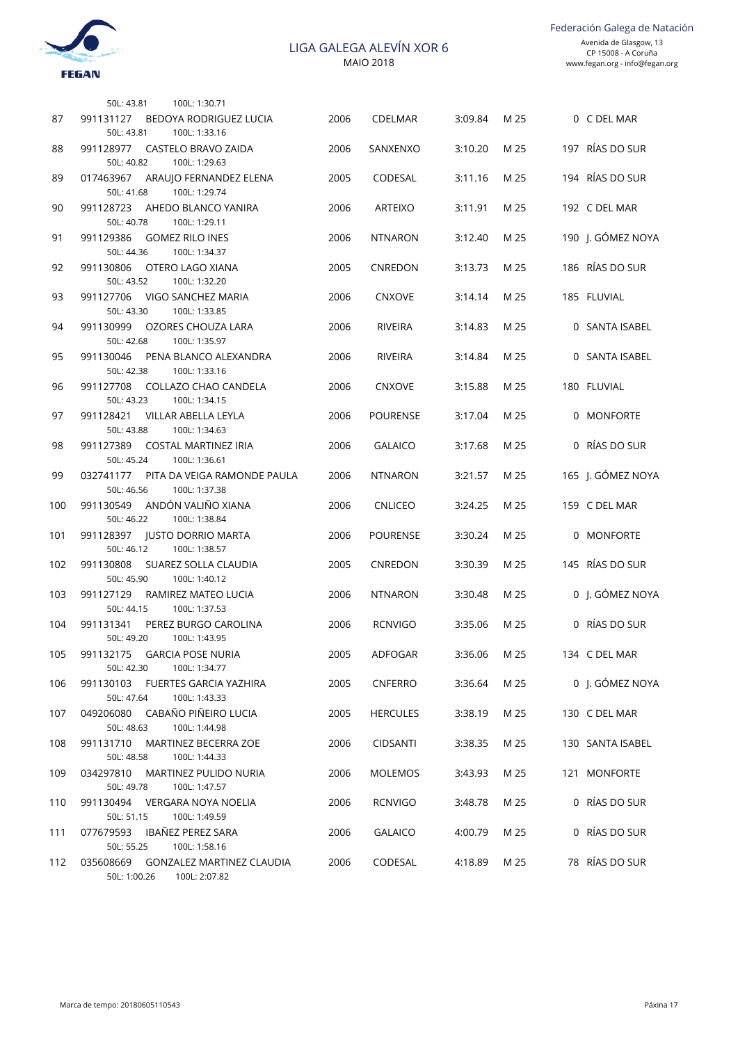

Federación Galega de Natación

|     | 50L: 43.81<br>100L: 1:30.71                                                  |      |                 |         |      |                   |
|-----|------------------------------------------------------------------------------|------|-----------------|---------|------|-------------------|
| 87  | 991131127<br>BEDOYA RODRIGUEZ LUCIA<br>50L: 43.81<br>100L: 1:33.16           | 2006 | <b>CDELMAR</b>  | 3:09.84 | M 25 | 0 C DEL MAR       |
| 88  | 991128977<br>CASTELO BRAVO ZAIDA<br>50L: 40.82<br>100L: 1:29.63              | 2006 | SANXENXO        | 3:10.20 | M 25 | 197 RÍAS DO SUR   |
| 89  | 017463967<br>ARAUJO FERNANDEZ ELENA<br>100L: 1:29.74<br>50L: 41.68           | 2005 | CODESAL         | 3:11.16 | M 25 | 194 RÍAS DO SUR   |
| 90  | 991128723<br>AHEDO BLANCO YANIRA<br>50L: 40.78<br>100L: 1:29.11              | 2006 | <b>ARTEIXO</b>  | 3:11.91 | M 25 | 192 C DEL MAR     |
| 91  | <b>GOMEZ RILO INES</b><br>991129386                                          | 2006 | <b>NTNARON</b>  | 3:12.40 | M 25 | 190 J. GÓMEZ NOYA |
| 92  | 100L: 1:34.37<br>50L: 44.36<br>991130806<br>OTERO LAGO XIANA                 | 2005 | CNREDON         | 3:13.73 | M 25 | 186 RÍAS DO SUR   |
| 93  | 100L: 1:32.20<br>50L: 43.52<br>991127706<br>VIGO SANCHEZ MARIA               | 2006 | <b>CNXOVE</b>   | 3:14.14 | M 25 | 185 FLUVIAL       |
| 94  | 100L: 1:33.85<br>50L: 43.30<br>991130999<br>OZORES CHOUZA LARA               | 2006 | <b>RIVEIRA</b>  | 3:14.83 | M 25 | 0 SANTA ISABEL    |
| 95  | 50L: 42.68<br>100L: 1:35.97<br>991130046<br>PENA BLANCO ALEXANDRA            | 2006 | <b>RIVEIRA</b>  | 3:14.84 | M 25 | 0 SANTA ISABEL    |
| 96  | 50L: 42.38<br>100L: 1:33.16<br>991127708<br>COLLAZO CHAO CANDELA             | 2006 | <b>CNXOVE</b>   | 3:15.88 | M 25 | 180 FLUVIAL       |
| 97  | 50L: 43.23<br>100L: 1:34.15<br>VILLAR ABELLA LEYLA<br>991128421              | 2006 | <b>POURENSE</b> | 3:17.04 | M 25 | 0 MONFORTE        |
| 98  | 100L: 1:34.63<br>50L: 43.88<br><b>COSTAL MARTINEZ IRIA</b><br>991127389      | 2006 | <b>GALAICO</b>  | 3:17.68 | M 25 | 0 RÍAS DO SUR     |
| 99  | 50L: 45.24<br>100L: 1:36.61<br>032741177<br>PITA DA VEIGA RAMONDE PAULA      | 2006 | <b>NTNARON</b>  | 3:21.57 | M 25 | 165 J. GÓMEZ NOYA |
| 100 | 50L: 46.56<br>100L: 1:37.38<br>ANDÓN VALIÑO XIANA<br>991130549               | 2006 | <b>CNLICEO</b>  | 3:24.25 | M 25 | 159 C DEL MAR     |
| 101 | 50L: 46.22<br>100L: 1:38.84<br>JUSTO DORRIO MARTA<br>991128397               | 2006 | <b>POURENSE</b> | 3:30.24 | M 25 | 0 MONFORTE        |
| 102 | 50L: 46.12<br>100L: 1:38.57<br>991130808<br>SUAREZ SOLLA CLAUDIA             | 2005 | CNREDON         | 3:30.39 | M 25 | 145 RÍAS DO SUR   |
| 103 | 50L: 45.90<br>100L: 1:40.12<br>991127129<br>RAMIREZ MATEO LUCIA              | 2006 | <b>NTNARON</b>  | 3:30.48 | M 25 | 0 J. GÓMEZ NOYA   |
| 104 | 50L: 44.15<br>100L: 1:37.53<br>991131341<br>PEREZ BURGO CAROLINA             | 2006 | <b>RCNVIGO</b>  | 3:35.06 | M 25 | 0 RÍAS DO SUR     |
| 105 | 50L: 49.20<br>100L: 1:43.95<br>991132175 GARCIA POSE NURIA                   | 2005 | ADFOGAR         | 3:36.06 | M 25 | 134 C DEL MAR     |
| 106 | 50L: 42.30<br>100L: 1:34.77<br>991130103<br>FUERTES GARCIA YAZHIRA           | 2005 | <b>CNFERRO</b>  | 3:36.64 | M 25 | 0 J. GÓMEZ NOYA   |
| 107 | 100L: 1:43.33<br>50L: 47.64<br>CABAÑO PIÑEIRO LUCIA<br>049206080             | 2005 | <b>HERCULES</b> | 3:38.19 | M 25 | 130 C DEL MAR     |
| 108 | 100L: 1:44.98<br>50L: 48.63<br>991131710<br>MARTINEZ BECERRA ZOE             | 2006 | <b>CIDSANTI</b> | 3:38.35 | M 25 | 130 SANTA ISABEL  |
| 109 | 100L: 1:44.33<br>50L: 48.58<br>034297810<br>MARTINEZ PULIDO NURIA            | 2006 | <b>MOLEMOS</b>  | 3:43.93 | M 25 | 121 MONFORTE      |
| 110 | 100L: 1:47.57<br>50L: 49.78<br>991130494<br>VERGARA NOYA NOELIA              | 2006 | <b>RCNVIGO</b>  | 3:48.78 | M 25 | 0 RÍAS DO SUR     |
| 111 | 100L: 1:49.59<br>50L: 51.15<br>077679593<br>IBAÑEZ PEREZ SARA                | 2006 | <b>GALAICO</b>  | 4:00.79 | M 25 | 0 RÍAS DO SUR     |
| 112 | 100L: 1:58.16<br>50L: 55.25<br>035608669<br><b>GONZALEZ MARTINEZ CLAUDIA</b> | 2006 | CODESAL         | 4:18.89 | M 25 | 78 RÍAS DO SUR    |
|     | 100L: 2:07.82<br>50L: 1:00.26                                                |      |                 |         |      |                   |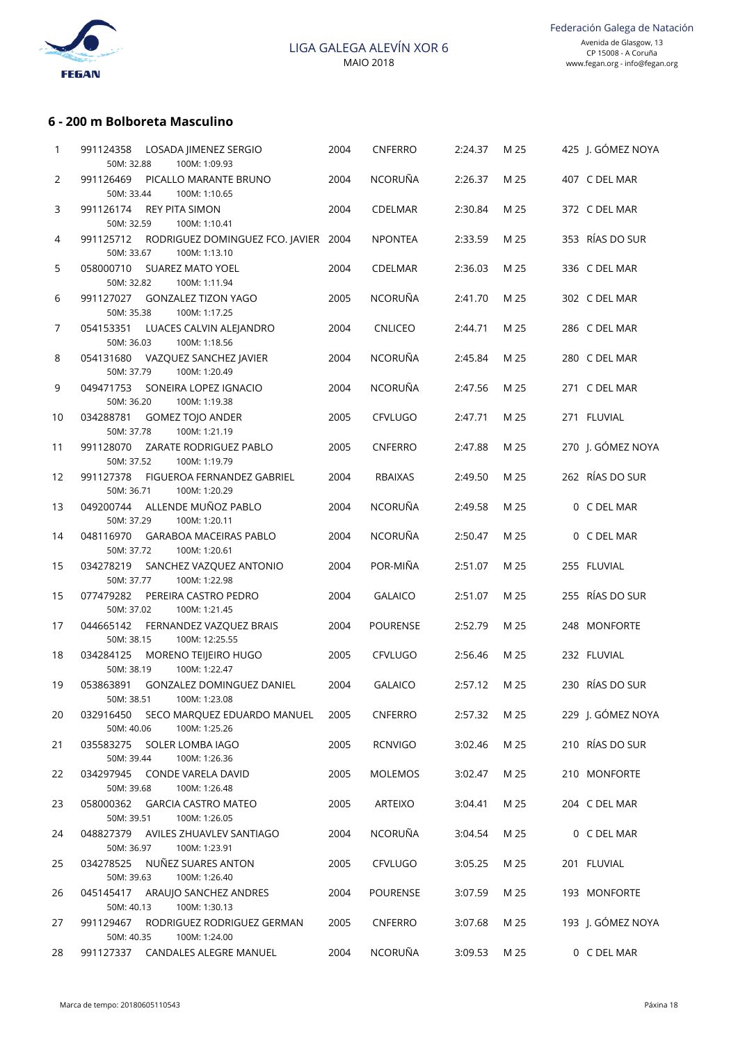

### **6 - 200 m Bolboreta Masculino**

| 1                     | 991124358<br>LOSADA JIMENEZ SERGIO<br>50M: 32.88<br>100M: 1:09.93         | 2004 | CNFERRO         | 2:24.37 | M 25 | 425 J. GÓMEZ NOYA |
|-----------------------|---------------------------------------------------------------------------|------|-----------------|---------|------|-------------------|
| $\mathbf{2}^{\prime}$ | 991126469<br>PICALLO MARANTE BRUNO<br>50M: 33.44<br>100M: 1:10.65         | 2004 | NCORUÑA         | 2:26.37 | M 25 | 407 C DEL MAR     |
| 3                     | 991126174<br><b>REY PITA SIMON</b><br>50M: 32.59<br>100M: 1:10.41         | 2004 | CDELMAR         | 2:30.84 | M 25 | 372 C DEL MAR     |
| 4                     | 991125712<br>RODRIGUEZ DOMINGUEZ FCO. JAVIER 2004<br>50M: 33.67           |      | <b>NPONTEA</b>  | 2:33.59 | M 25 | 353 RÍAS DO SUR   |
| 5                     | 100M: 1:13.10<br>058000710<br><b>SUAREZ MATO YOEL</b>                     | 2004 | CDELMAR         | 2:36.03 | M 25 | 336 C DEL MAR     |
| 6                     | 50M: 32.82<br>100M: 1:11.94<br>991127027<br><b>GONZALEZ TIZON YAGO</b>    | 2005 | <b>NCORUÑA</b>  | 2:41.70 | M 25 | 302 C DEL MAR     |
| 7                     | 50M: 35.38<br>100M: 1:17.25<br>054153351<br>LUACES CALVIN ALEJANDRO       | 2004 | <b>CNLICEO</b>  | 2:44.71 | M 25 | 286 C DEL MAR     |
| 8                     | 50M: 36.03<br>100M: 1:18.56<br>054131680<br>VAZQUEZ SANCHEZ JAVIER        | 2004 | <b>NCORUÑA</b>  | 2:45.84 | M 25 | 280 C DEL MAR     |
| 9                     | 100M: 1:20.49<br>50M: 37.79<br>049471753<br>SONEIRA LOPEZ IGNACIO         | 2004 | NCORUÑA         | 2:47.56 | M 25 | 271 C DEL MAR     |
| 10                    | 50M: 36.20<br>100M: 1:19.38<br>034288781<br><b>GOMEZ TOJO ANDER</b>       | 2005 | CFVLUGO         | 2:47.71 | M 25 | 271 FLUVIAL       |
| 11                    | 50M: 37.78<br>100M: 1:21.19<br>991128070<br>ZARATE RODRIGUEZ PABLO        | 2005 | <b>CNFERRO</b>  | 2:47.88 | M 25 | 270 J. GÓMEZ NOYA |
| 12                    | 50M: 37.52<br>100M: 1:19.79<br>991127378<br>FIGUEROA FERNANDEZ GABRIEL    | 2004 | <b>RBAIXAS</b>  | 2:49.50 | M 25 | 262 RÍAS DO SUR   |
| 13                    | 50M: 36.71<br>100M: 1:20.29<br>ALLENDE MUÑOZ PABLO<br>049200744           | 2004 | NCORUÑA         | 2:49.58 | M 25 | 0 C DEL MAR       |
| 14                    | 50M: 37.29<br>100M: 1:20.11<br>048116970<br><b>GARABOA MACEIRAS PABLO</b> | 2004 | NCORUÑA         | 2:50.47 | M 25 | 0 C DEL MAR       |
| 15                    | 50M: 37.72<br>100M: 1:20.61<br>034278219<br>SANCHEZ VAZQUEZ ANTONIO       | 2004 | POR-MIÑA        | 2:51.07 | M 25 | 255 FLUVIAL       |
| 15                    | 100M: 1:22.98<br>50M: 37.77<br>077479282<br>PEREIRA CASTRO PEDRO          | 2004 | <b>GALAICO</b>  | 2:51.07 | M 25 | 255 RÍAS DO SUR   |
|                       | 50M: 37.02<br>100M: 1:21.45                                               |      |                 |         |      |                   |
| 17                    | 044665142<br>FERNANDEZ VAZQUEZ BRAIS<br>50M: 38.15<br>100M: 12:25.55      | 2004 | <b>POURENSE</b> | 2:52.79 | M 25 | 248 MONFORTE      |
| 18                    | 034284125<br>MORENO TEIJEIRO HUGO<br>100M: 1:22.47<br>50M: 38.19          | 2005 | CFVLUGO         | 2:56.46 | M 25 | 232 FLUVIAL       |
| 19                    | 053863891<br>GONZALEZ DOMINGUEZ DANIEL<br>100M: 1:23.08                   | 2004 | <b>GALAICO</b>  | 2:57.12 | M 25 | 230 RÍAS DO SUR   |
| 20                    | 50M: 38.51<br>032916450<br>SECO MARQUEZ EDUARDO MANUEL                    | 2005 | CNFERRO         | 2:57.32 | M 25 | 229 J. GÓMEZ NOYA |
| 21                    | 50M: 40.06<br>100M: 1:25.26<br>035583275<br>SOLER LOMBA IAGO              | 2005 | <b>RCNVIGO</b>  | 3:02.46 | M 25 | 210 RÍAS DO SUR   |
| 22                    | 50M: 39.44<br>100M: 1:26.36<br>034297945<br>CONDE VARELA DAVID            | 2005 | MOLEMOS         | 3:02.47 | M 25 | 210 MONFORTE      |
|                       | 50M: 39.68<br>100M: 1:26.48                                               |      |                 |         |      |                   |
| 23                    | 058000362<br><b>GARCIA CASTRO MATEO</b><br>50M: 39.51<br>100M: 1:26.05    | 2005 | ARTEIXO         | 3:04.41 | M 25 | 204 C DEL MAR     |
| 24                    | AVILES ZHUAVLEV SANTIAGO<br>048827379<br>50M: 36.97<br>100M: 1:23.91      | 2004 | NCORUÑA         | 3:04.54 | M 25 | 0 C DEL MAR       |
| 25                    | 034278525<br>NUÑEZ SUARES ANTON<br>50M: 39.63<br>100M: 1:26.40            | 2005 | CFVLUGO         | 3:05.25 | M 25 | 201 FLUVIAL       |
| 26                    | ARAUJO SANCHEZ ANDRES<br>045145417<br>50M: 40.13<br>100M: 1:30.13         | 2004 | <b>POURENSE</b> | 3:07.59 | M 25 | 193 MONFORTE      |
| 27                    | 991129467<br>RODRIGUEZ RODRIGUEZ GERMAN<br>50M: 40.35<br>100M: 1:24.00    | 2005 | CNFERRO         | 3:07.68 | M 25 | 193 J. GÓMEZ NOYA |
| 28                    | 991127337 CANDALES ALEGRE MANUEL                                          | 2004 | NCORUÑA         | 3:09.53 | M 25 | 0 C DEL MAR       |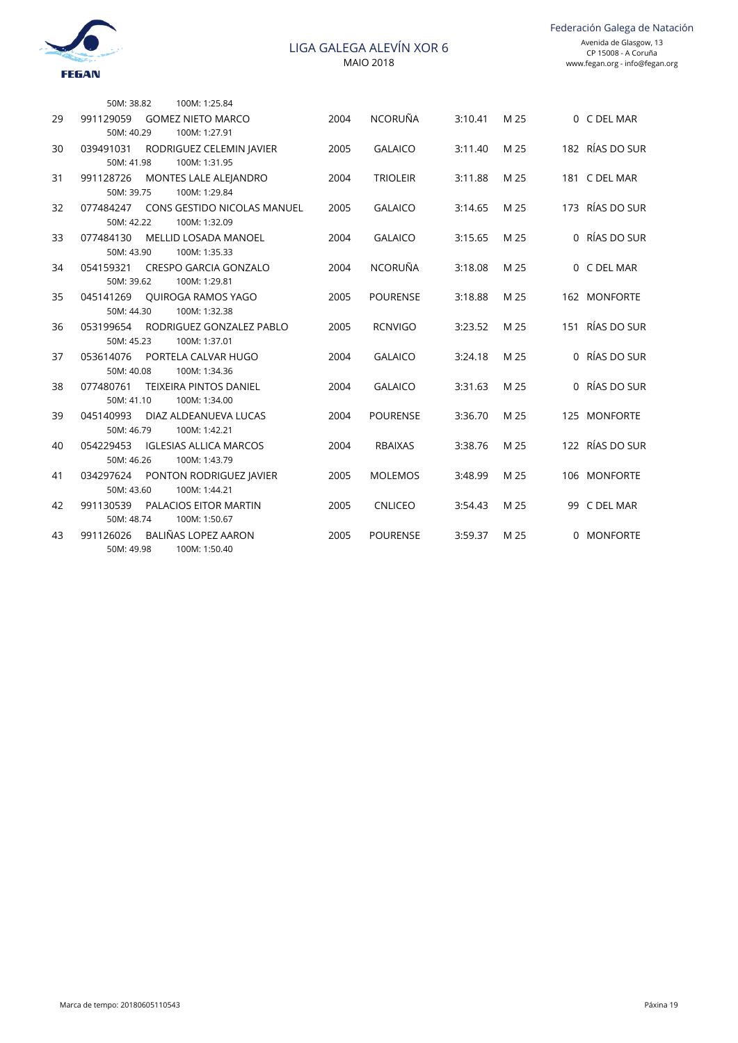

|    | 50M: 38.82              | 100M: 1:25.84                             |      |                 |         |      |                 |
|----|-------------------------|-------------------------------------------|------|-----------------|---------|------|-----------------|
| 29 | 991129059               | <b>GOMEZ NIETO MARCO</b>                  | 2004 | <b>NCORUÑA</b>  | 3:10.41 | M 25 | 0 C DEL MAR     |
|    | 50M: 40.29              | 100M: 1:27.91                             |      |                 |         |      | 182 RÍAS DO SUR |
| 30 | 039491031<br>50M: 41.98 | RODRIGUEZ CELEMIN JAVIER<br>100M: 1:31.95 | 2005 | <b>GALAICO</b>  | 3:11.40 | M 25 |                 |
| 31 | 991128726               | MONTES LALE ALEJANDRO                     | 2004 | <b>TRIOLEIR</b> | 3:11.88 | M 25 | 181 C DEL MAR   |
|    | 50M: 39.75              | 100M: 1:29.84                             |      |                 |         |      |                 |
| 32 |                         | 077484247 CONS GESTIDO NICOLAS MANUEL     | 2005 | <b>GALAICO</b>  | 3:14.65 | M 25 | 173 RÍAS DO SUR |
|    | 50M: 42.22              | 100M: 1:32.09                             |      |                 |         |      |                 |
| 33 | 077484130               | MELLID LOSADA MANOEL                      | 2004 | <b>GALAICO</b>  | 3:15.65 | M 25 | 0 RÍAS DO SUR   |
|    | 50M: 43.90              | 100M: 1:35.33                             |      |                 |         |      |                 |
| 34 | 054159321               | CRESPO GARCIA GONZALO                     | 2004 | <b>NCORUÑA</b>  | 3:18.08 | M 25 | 0 C DEL MAR     |
|    | 50M: 39.62              | 100M: 1:29.81                             |      |                 |         |      |                 |
| 35 |                         | 045141269 OUIROGA RAMOS YAGO              | 2005 | <b>POURENSE</b> | 3:18.88 | M 25 | 162 MONFORTE    |
|    | 50M: 44.30              | 100M: 1:32.38                             |      |                 |         |      |                 |
| 36 | 053199654               | RODRIGUEZ GONZALEZ PABLO                  | 2005 | <b>RCNVIGO</b>  | 3:23.52 | M 25 | 151 RÍAS DO SUR |
|    | 50M: 45.23              | 100M: 1:37.01                             |      |                 |         |      |                 |
| 37 | 053614076<br>50M: 40.08 | PORTELA CALVAR HUGO<br>100M: 1:34.36      | 2004 | <b>GALAICO</b>  | 3:24.18 | M 25 | 0 RÍAS DO SUR   |
| 38 | 077480761               | <b>TEIXEIRA PINTOS DANIEL</b>             | 2004 | <b>GALAICO</b>  | 3:31.63 | M 25 | 0 RÍAS DO SUR   |
|    | 50M: 41.10              | 100M: 1:34.00                             |      |                 |         |      |                 |
| 39 | 045140993               | DIAZ ALDEANUEVA LUCAS                     | 2004 | <b>POURENSE</b> | 3:36.70 | M 25 | 125 MONFORTE    |
|    | 50M: 46.79              | 100M: 1:42.21                             |      |                 |         |      |                 |
| 40 | 054229453               | <b>IGLESIAS ALLICA MARCOS</b>             | 2004 | <b>RBAIXAS</b>  | 3:38.76 | M 25 | 122 RÍAS DO SUR |
|    | 50M: 46.26              | 100M: 1:43.79                             |      |                 |         |      |                 |
| 41 | 034297624               | PONTON RODRIGUEZ JAVIER                   | 2005 | <b>MOLEMOS</b>  | 3:48.99 | M 25 | 106 MONFORTE    |
|    | 50M: 43.60              | 100M: 1:44.21                             |      |                 |         |      |                 |
| 42 | 991130539               | <b>PALACIOS EITOR MARTIN</b>              | 2005 | <b>CNLICEO</b>  | 3:54.43 | M 25 | 99 C DEL MAR    |
|    | 50M: 48.74              | 100M: 1:50.67                             |      |                 |         |      |                 |
| 43 | 991126026               | BALIÑAS LOPEZ AARON                       | 2005 | <b>POURENSE</b> | 3:59.37 | M 25 | 0 MONFORTE      |
|    | 50M: 49.98              | 100M: 1:50.40                             |      |                 |         |      |                 |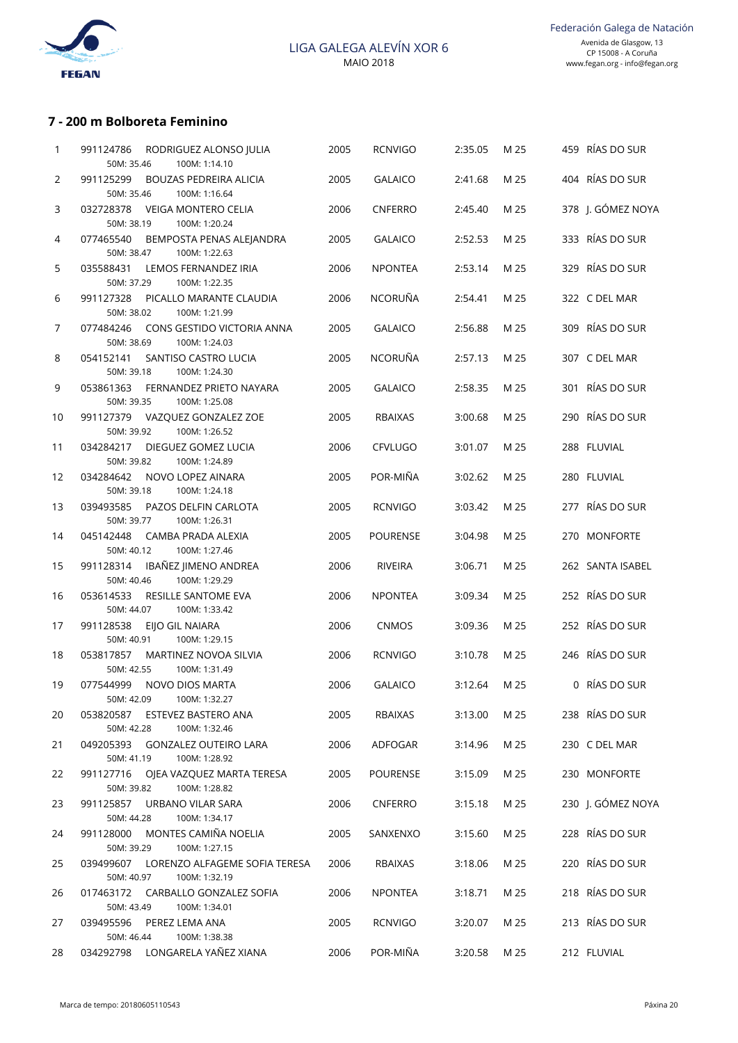

# **7 - 200 m Bolboreta Feminino**

| 1  | RODRIGUEZ ALONSO JULIA<br>991124786<br>100M: 1:14.10<br>50M: 35.46        | 2005 | <b>RCNVIGO</b>  | 2:35.05 | M 25 | 459 RÍAS DO SUR   |
|----|---------------------------------------------------------------------------|------|-----------------|---------|------|-------------------|
| 2  | <b>BOUZAS PEDREIRA ALICIA</b><br>991125299<br>100M: 1:16.64<br>50M: 35.46 | 2005 | <b>GALAICO</b>  | 2:41.68 | M 25 | 404 RÍAS DO SUR   |
| 3  | VEIGA MONTERO CELIA<br>032728378<br>100M: 1:20.24<br>50M: 38.19           | 2006 | <b>CNFERRO</b>  | 2:45.40 | M 25 | 378 J. GÓMEZ NOYA |
| 4  | 077465540<br>BEMPOSTA PENAS ALEJANDRA<br>100M: 1:22.63<br>50M: 38.47      | 2005 | <b>GALAICO</b>  | 2:52.53 | M 25 | 333 RÍAS DO SUR   |
| 5  | 035588431<br>LEMOS FERNANDEZ IRIA<br>100M: 1:22.35<br>50M: 37.29          | 2006 | <b>NPONTEA</b>  | 2:53.14 | M 25 | 329 RÍAS DO SUR   |
| 6  | 991127328<br>PICALLO MARANTE CLAUDIA<br>100M: 1:21.99<br>50M: 38.02       | 2006 | <b>NCORUÑA</b>  | 2:54.41 | M 25 | 322 C DEL MAR     |
| 7  | CONS GESTIDO VICTORIA ANNA<br>077484246<br>100M: 1:24.03<br>50M: 38.69    | 2005 | <b>GALAICO</b>  | 2:56.88 | M 25 | 309 RÍAS DO SUR   |
| 8  | SANTISO CASTRO LUCIA<br>054152141<br>100M: 1:24.30<br>50M: 39.18          | 2005 | <b>NCORUÑA</b>  | 2:57.13 | M 25 | 307 C DEL MAR     |
| 9  | 053861363<br>FERNANDEZ PRIETO NAYARA<br>100M: 1:25.08<br>50M: 39.35       | 2005 | <b>GALAICO</b>  | 2:58.35 | M 25 | 301 RÍAS DO SUR   |
| 10 | 991127379 VAZQUEZ GONZALEZ ZOE<br>100M: 1:26.52<br>50M: 39.92             | 2005 | RBAIXAS         | 3:00.68 | M 25 | 290 RÍAS DO SUR   |
| 11 | 034284217<br>DIEGUEZ GOMEZ LUCIA<br>100M: 1:24.89<br>50M: 39.82           | 2006 | <b>CFVLUGO</b>  | 3:01.07 | M 25 | 288 FLUVIAL       |
| 12 | NOVO LOPEZ AINARA<br>034284642<br>100M: 1:24.18<br>50M: 39.18             | 2005 | POR-MIÑA        | 3:02.62 | M 25 | 280 FLUVIAL       |
| 13 | 039493585<br>PAZOS DELFIN CARLOTA<br>50M: 39.77<br>100M: 1:26.31          | 2005 | <b>RCNVIGO</b>  | 3:03.42 | M 25 | 277 RÍAS DO SUR   |
| 14 | CAMBA PRADA ALEXIA<br>045142448<br>50M: 40.12<br>100M: 1:27.46            | 2005 | <b>POURENSE</b> | 3:04.98 | M 25 | 270 MONFORTE      |
| 15 | 991128314 IBAÑEZ JIMENO ANDREA<br>100M: 1:29.29<br>50M: 40.46             | 2006 | RIVEIRA         | 3:06.71 | M 25 | 262 SANTA ISABEL  |
| 16 | 053614533<br>RESILLE SANTOME EVA<br>50M: 44.07<br>100M: 1:33.42           | 2006 | <b>NPONTEA</b>  | 3:09.34 | M 25 | 252 RÍAS DO SUR   |
| 17 | EIJO GIL NAIARA<br>991128538<br>100M: 1:29.15<br>50M: 40.91               | 2006 | <b>CNMOS</b>    | 3:09.36 | M 25 | 252 RÍAS DO SUR   |
| 18 | 053817857<br>MARTINEZ NOVOA SILVIA<br>50M: 42.55<br>100M: 1:31.49         | 2006 | <b>RCNVIGO</b>  | 3:10.78 | M 25 | 246 RÍAS DO SUR   |
| 19 | 077544999<br>NOVO DIOS MARTA<br>50M: 42.09 100M: 1:32.27                  | 2006 | <b>GALAICO</b>  | 3:12.64 | M 25 | 0 RÍAS DO SUR     |
| 20 | ESTEVEZ BASTERO ANA<br>053820587<br>50M: 42.28<br>100M: 1:32.46           | 2005 | RBAIXAS         | 3:13.00 | M 25 | 238 RÍAS DO SUR   |
| 21 | 049205393 GONZALEZ OUTEIRO LARA<br>50M: 41.19<br>100M: 1:28.92            | 2006 | ADFOGAR         | 3:14.96 | M 25 | 230 C DEL MAR     |
| 22 | 991127716<br>OJEA VAZQUEZ MARTA TERESA<br>50M: 39.82<br>100M: 1:28.82     | 2005 | <b>POURENSE</b> | 3:15.09 | M 25 | 230 MONFORTE      |
| 23 | 991125857 URBANO VILAR SARA<br>50M: 44.28<br>100M: 1:34.17                | 2006 | CNFERRO         | 3:15.18 | M 25 | 230 J. GÓMEZ NOYA |
| 24 | MONTES CAMIÑA NOELIA<br>991128000<br>100M: 1:27.15<br>50M: 39.29          | 2005 | SANXENXO        | 3:15.60 | M 25 | 228 RÍAS DO SUR   |
| 25 | 039499607<br>LORENZO ALFAGEME SOFIA TERESA<br>50M: 40.97<br>100M: 1:32.19 | 2006 | RBAIXAS         | 3:18.06 | M 25 | 220 RÍAS DO SUR   |
| 26 | 017463172 CARBALLO GONZALEZ SOFIA<br>50M: 43.49<br>100M: 1:34.01          | 2006 | <b>NPONTEA</b>  | 3:18.71 | M 25 | 218 RÍAS DO SUR   |
| 27 | 039495596<br>PEREZ LEMA ANA<br>100M: 1:38.38<br>50M: 46.44                | 2005 | <b>RCNVIGO</b>  | 3:20.07 | M 25 | 213 RÍAS DO SUR   |
| 28 | 034292798 LONGARELA YAÑEZ XIANA                                           | 2006 | POR-MIÑA        | 3:20.58 | M 25 | 212 FLUVIAL       |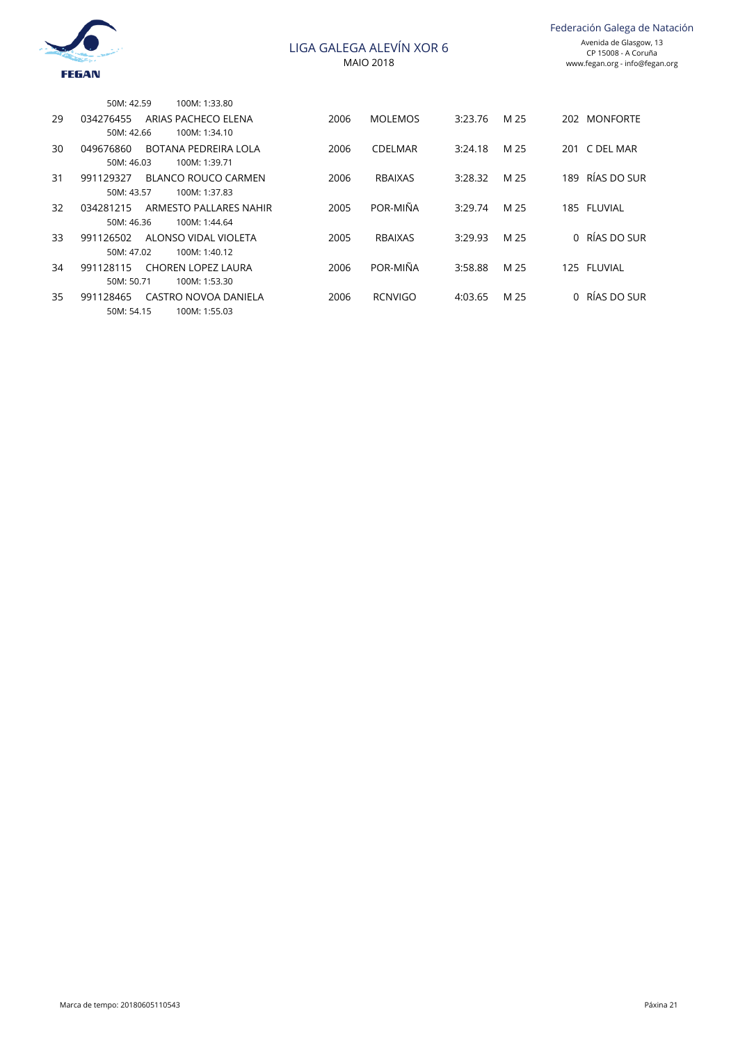

|    | 50M: 42.59 | 100M: 1:33.80             |      |                |         |      |     |               |
|----|------------|---------------------------|------|----------------|---------|------|-----|---------------|
| 29 | 034276455  | ARIAS PACHECO ELENA       | 2006 | <b>MOLEMOS</b> | 3:23.76 | M 25 | 202 | MONFORTE      |
|    | 50M: 42.66 | 100M: 1:34.10             |      |                |         |      |     |               |
| 30 | 049676860  | BOTANA PEDREIRA LOLA      | 2006 | <b>CDELMAR</b> | 3:24.18 | M 25 | 201 | C DEL MAR     |
|    | 50M: 46.03 | 100M: 1:39.71             |      |                |         |      |     |               |
| 31 | 991129327  | BLANCO ROUCO CARMEN       | 2006 | <b>RBAIXAS</b> | 3:28.32 | M 25 | 189 | RÍAS DO SUR   |
|    | 50M: 43.57 | 100M: 1:37.83             |      |                |         |      |     |               |
| 32 | 034281215  | ARMESTO PALLARES NAHIR    | 2005 | POR-MIÑA       | 3:29.74 | M 25 |     | 185 FLUVIAL   |
|    | 50M: 46.36 | 100M: 1:44.64             |      |                |         |      |     |               |
| 33 | 991126502  | ALONSO VIDAL VIOLETA      | 2005 | <b>RBAIXAS</b> | 3:29.93 | M 25 |     | 0 RÍAS DO SUR |
|    | 50M: 47.02 | 100M: 1:40.12             |      |                |         |      |     |               |
| 34 | 991128115  | <b>CHOREN LOPEZ LAURA</b> | 2006 | POR-MIÑA       | 3:58.88 | M 25 |     | 125 FLUVIAL   |
|    | 50M: 50.71 | 100M: 1:53.30             |      |                |         |      |     |               |
| 35 | 991128465  | CASTRO NOVOA DANIELA      | 2006 | <b>RCNVIGO</b> | 4:03.65 | M 25 |     | 0 RÍAS DO SUR |
|    | 50M: 54.15 | 100M: 1:55.03             |      |                |         |      |     |               |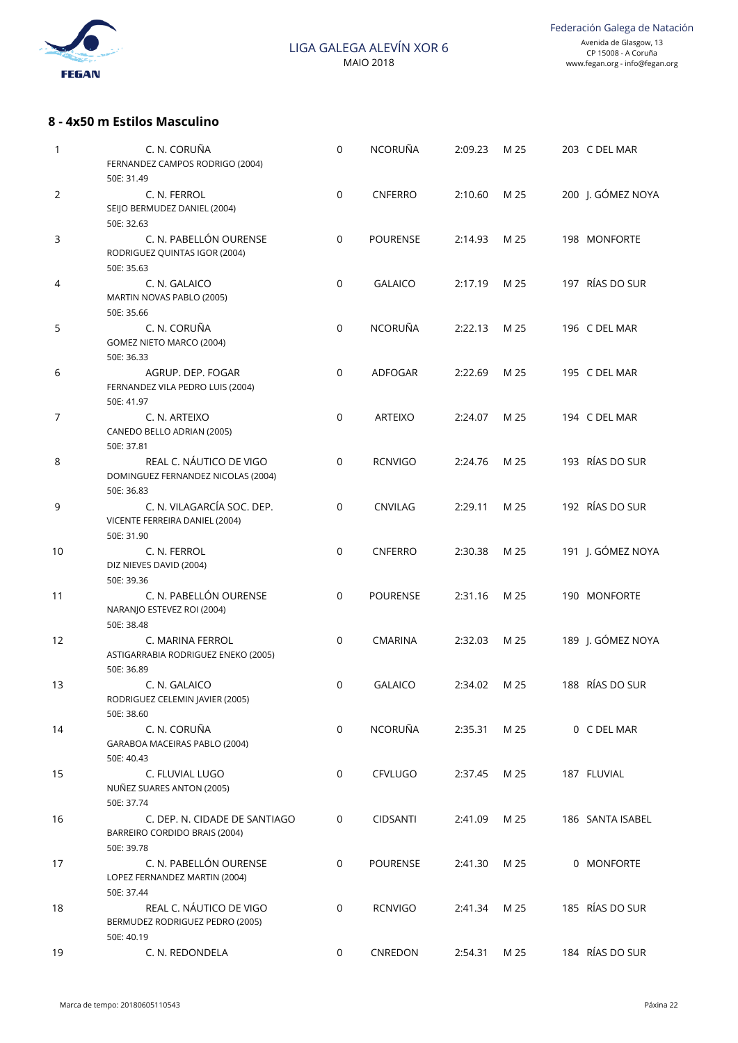

## **8 - 4x50 m Estilos Masculino**

| 1              | C. N. CORUÑA<br>FERNANDEZ CAMPOS RODRIGO (2004)<br>50E: 31.49                | $\mathbf 0$ | NCORUÑA         | 2:09.23 | M 25 | 203 C DEL MAR     |
|----------------|------------------------------------------------------------------------------|-------------|-----------------|---------|------|-------------------|
| 2              | C. N. FERROL<br>SEIJO BERMUDEZ DANIEL (2004)<br>50E: 32.63                   | $\mathbf 0$ | <b>CNFERRO</b>  | 2:10.60 | M 25 | 200 J. GÓMEZ NOYA |
| 3              | C. N. PABELLÓN OURENSE<br>RODRIGUEZ QUINTAS IGOR (2004)<br>50E: 35.63        | $\mathbf 0$ | <b>POURENSE</b> | 2:14.93 | M 25 | 198 MONFORTE      |
| 4              | C. N. GALAICO<br>MARTIN NOVAS PABLO (2005)<br>50E: 35.66                     | $\mathbf 0$ | <b>GALAICO</b>  | 2:17.19 | M 25 | 197 RÍAS DO SUR   |
| 5              | C. N. CORUÑA<br>GOMEZ NIETO MARCO (2004)<br>50E: 36.33                       | $\mathbf 0$ | <b>NCORUÑA</b>  | 2:22.13 | M 25 | 196 C DEL MAR     |
| 6              | AGRUP. DEP. FOGAR<br>FERNANDEZ VILA PEDRO LUIS (2004)<br>50E: 41.97          | 0           | ADFOGAR         | 2:22.69 | M 25 | 195 C DEL MAR     |
| $\overline{7}$ | C. N. ARTEIXO<br>CANEDO BELLO ADRIAN (2005)<br>50E: 37.81                    | 0           | <b>ARTEIXO</b>  | 2:24.07 | M 25 | 194 C DEL MAR     |
| 8              | REAL C. NÁUTICO DE VIGO<br>DOMINGUEZ FERNANDEZ NICOLAS (2004)<br>50E: 36.83  | $\mathbf 0$ | <b>RCNVIGO</b>  | 2:24.76 | M 25 | 193 RÍAS DO SUR   |
| 9              | C. N. VILAGARCÍA SOC. DEP.<br>VICENTE FERREIRA DANIEL (2004)<br>50E: 31.90   | 0           | <b>CNVILAG</b>  | 2:29.11 | M 25 | 192 RÍAS DO SUR   |
| 10             | C. N. FERROL<br>DIZ NIEVES DAVID (2004)<br>50E: 39.36                        | 0           | <b>CNFERRO</b>  | 2:30.38 | M 25 | 191 J. GÓMEZ NOYA |
| 11             | C. N. PABELLÓN OURENSE<br>NARANJO ESTEVEZ ROI (2004)<br>50E: 38.48           | 0           | <b>POURENSE</b> | 2:31.16 | M 25 | 190 MONFORTE      |
| 12             | C. MARINA FERROL<br>ASTIGARRABIA RODRIGUEZ ENEKO (2005)<br>50E: 36.89        | 0           | <b>CMARINA</b>  | 2:32.03 | M 25 | 189 J. GÓMEZ NOYA |
| 13             | C. N. GALAICO<br>RODRIGUEZ CELEMIN JAVIER (2005)<br>50E: 38.60               | 0           | <b>GALAICO</b>  | 2:34.02 | M 25 | 188 RÍAS DO SUR   |
| 14             | C. N. CORUÑA<br>GARABOA MACEIRAS PABLO (2004)<br>50E: 40.43                  | $\mathbf 0$ | NCORUÑA         | 2:35.31 | M 25 | 0 C DEL MAR       |
| 15             | C. FLUVIAL LUGO<br>NUÑEZ SUARES ANTON (2005)<br>50E: 37.74                   | 0           | <b>CFVLUGO</b>  | 2:37.45 | M 25 | 187 FLUVIAL       |
| 16             | C. DEP. N. CIDADE DE SANTIAGO<br>BARREIRO CORDIDO BRAIS (2004)<br>50E: 39.78 | 0           | <b>CIDSANTI</b> | 2:41.09 | M 25 | 186 SANTA ISABEL  |
| 17             | C. N. PABELLÓN OURENSE<br>LOPEZ FERNANDEZ MARTIN (2004)<br>50E: 37.44        | 0           | <b>POURENSE</b> | 2:41.30 | M 25 | 0 MONFORTE        |
| 18             | REAL C. NÁUTICO DE VIGO<br>BERMUDEZ RODRIGUEZ PEDRO (2005)<br>50E: 40.19     | $\mathbf 0$ | <b>RCNVIGO</b>  | 2:41.34 | M 25 | 185 RÍAS DO SUR   |
| 19             | C. N. REDONDELA                                                              | 0           | CNREDON         | 2:54.31 | M 25 | 184 RÍAS DO SUR   |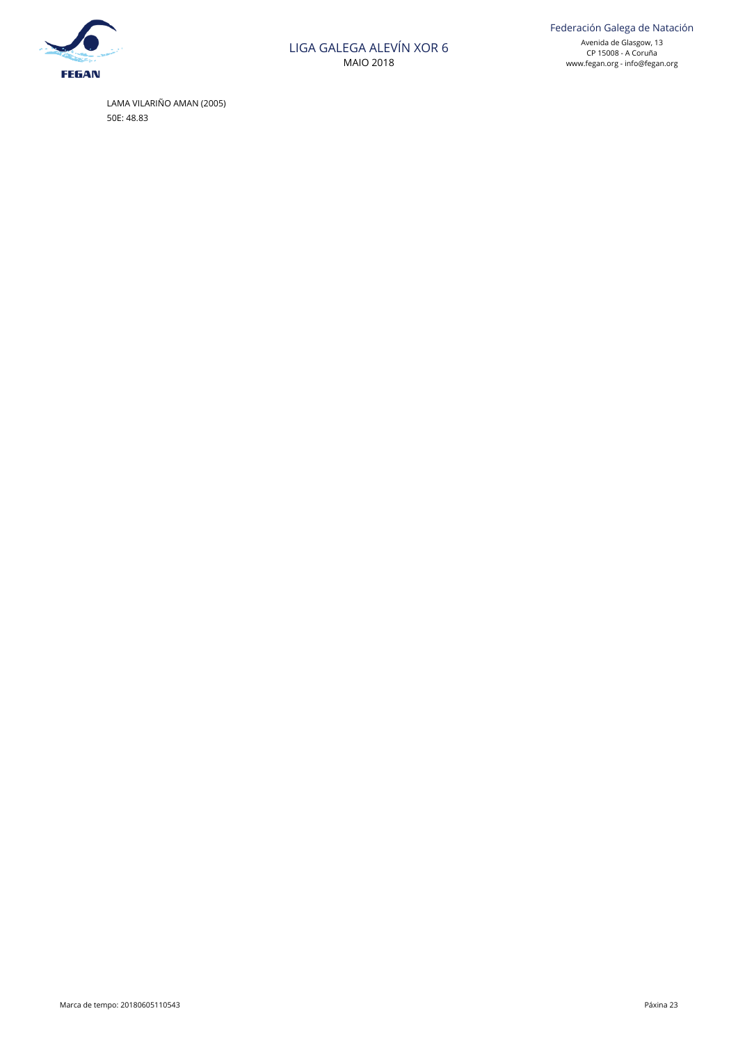

 LAMA VILARIÑO AMAN (2005) 50E: 48.83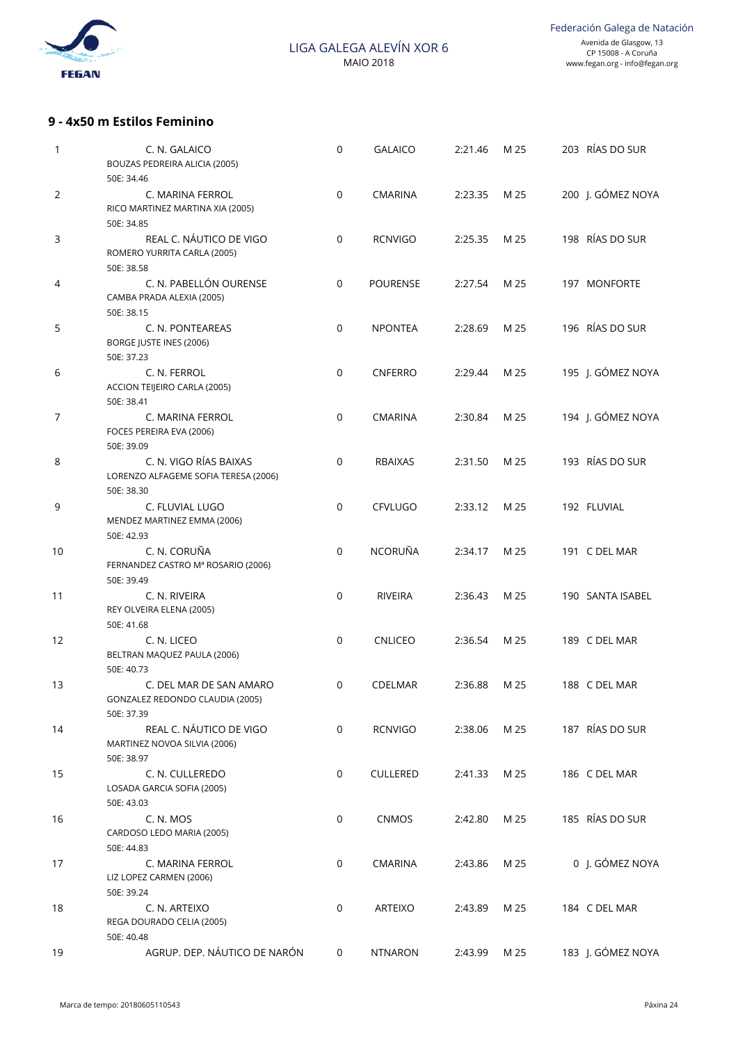

## **9 - 4x50 m Estilos Feminino**

| 1              | C. N. GALAICO<br>BOUZAS PEDREIRA ALICIA (2005)<br>50E: 34.46                 | $\mathbf 0$ | <b>GALAICO</b>  | 2:21.46 | M 25 | 203 RÍAS DO SUR   |
|----------------|------------------------------------------------------------------------------|-------------|-----------------|---------|------|-------------------|
| 2              | C. MARINA FERROL<br>RICO MARTINEZ MARTINA XIA (2005)<br>50E: 34.85           | $\mathbf 0$ | <b>CMARINA</b>  | 2:23.35 | M 25 | 200 J. GÓMEZ NOYA |
| 3              | REAL C. NÁUTICO DE VIGO<br>ROMERO YURRITA CARLA (2005)<br>50E: 38.58         | $\mathbf 0$ | <b>RCNVIGO</b>  | 2:25.35 | M 25 | 198 RÍAS DO SUR   |
| 4              | C. N. PABELLÓN OURENSE<br>CAMBA PRADA ALEXIA (2005)<br>50E: 38.15            | $\mathbf 0$ | <b>POURENSE</b> | 2:27.54 | M 25 | 197 MONFORTE      |
| 5              | C. N. PONTEAREAS<br>BORGE JUSTE INES (2006)<br>50E: 37.23                    | $\mathbf 0$ | <b>NPONTEA</b>  | 2:28.69 | M 25 | 196 RÍAS DO SUR   |
| 6              | C. N. FERROL<br>ACCION TEIJEIRO CARLA (2005)<br>50E: 38.41                   | $\mathbf 0$ | <b>CNFERRO</b>  | 2:29.44 | M 25 | 195 J. GÓMEZ NOYA |
| $\overline{7}$ | C. MARINA FERROL<br>FOCES PEREIRA EVA (2006)<br>50E: 39.09                   | $\mathbf 0$ | <b>CMARINA</b>  | 2:30.84 | M 25 | 194 J. GÓMEZ NOYA |
| 8              | C. N. VIGO RÍAS BAIXAS<br>LORENZO ALFAGEME SOFIA TERESA (2006)<br>50E: 38.30 | $\mathbf 0$ | <b>RBAIXAS</b>  | 2:31.50 | M 25 | 193 RÍAS DO SUR   |
| 9              | C. FLUVIAL LUGO<br>MENDEZ MARTINEZ EMMA (2006)<br>50E: 42.93                 | $\mathbf 0$ | <b>CFVLUGO</b>  | 2:33.12 | M 25 | 192 FLUVIAL       |
| 10             | C. N. CORUÑA<br>FERNANDEZ CASTRO Mª ROSARIO (2006)<br>50E: 39.49             | $\mathbf 0$ | NCORUÑA         | 2:34.17 | M 25 | 191 C DEL MAR     |
| 11             | C. N. RIVEIRA<br>REY OLVEIRA ELENA (2005)<br>50E: 41.68                      | $\mathbf 0$ | <b>RIVEIRA</b>  | 2:36.43 | M 25 | 190 SANTA ISABEL  |
| 12             | C. N. LICEO<br>BELTRAN MAQUEZ PAULA (2006)<br>50E: 40.73                     | $\mathbf 0$ | <b>CNLICEO</b>  | 2:36.54 | M 25 | 189 C DEL MAR     |
| 13             | C. DEL MAR DE SAN AMARO<br>GONZALEZ REDONDO CLAUDIA (2005)<br>50E: 37.39     | 0           | CDELMAR         | 2:36.88 | M 25 | 188 C DEL MAR     |
| 14             | REAL C. NÁUTICO DE VIGO<br>MARTINEZ NOVOA SILVIA (2006)<br>50E: 38.97        | $\mathbf 0$ | <b>RCNVIGO</b>  | 2:38.06 | M 25 | 187 RÍAS DO SUR   |
| 15             | C. N. CULLEREDO<br>LOSADA GARCIA SOFIA (2005)<br>50E: 43.03                  | $\mathbf 0$ | <b>CULLERED</b> | 2:41.33 | M 25 | 186 C DEL MAR     |
| 16             | C. N. MOS<br>CARDOSO LEDO MARIA (2005)<br>50E: 44.83                         | 0           | CNMOS           | 2:42.80 | M 25 | 185 RÍAS DO SUR   |
| 17             | C. MARINA FERROL<br>LIZ LOPEZ CARMEN (2006)<br>50E: 39.24                    | 0           | <b>CMARINA</b>  | 2:43.86 | M 25 | 0 J. GÓMEZ NOYA   |
| 18             | C. N. ARTEIXO<br>REGA DOURADO CELIA (2005)<br>50E: 40.48                     | 0           | ARTEIXO         | 2:43.89 | M 25 | 184 C DEL MAR     |
| 19             | AGRUP. DEP. NÁUTICO DE NARÓN                                                 | 0           | <b>NTNARON</b>  | 2:43.99 | M 25 | 183 J. GÓMEZ NOYA |